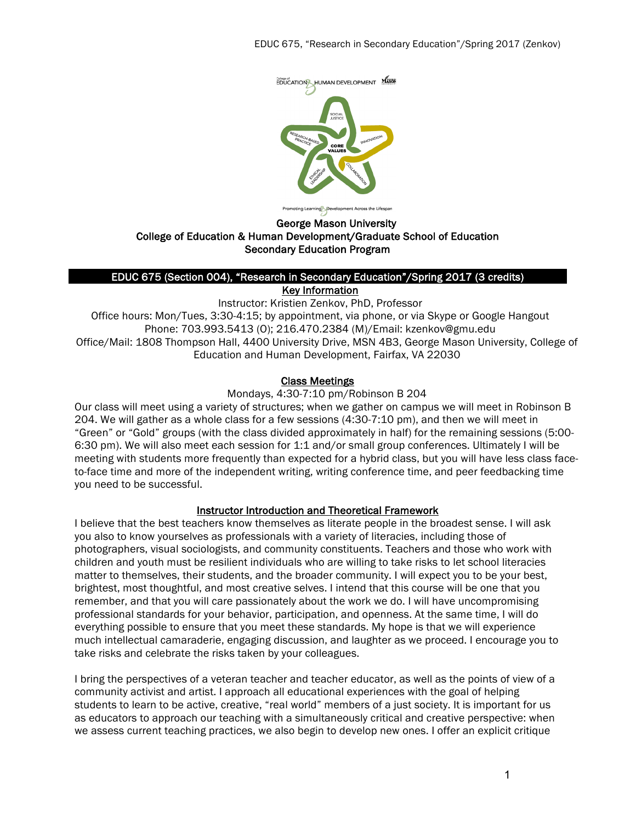

# Promoting Learning Sevelopment Across the Lifespan<br>George Mason University College of Education & Human Development/Graduate School of Education Secondary Education Program

# EDUC 675 (Section 004), "Research in Secondary Education"/Spring 2017 (3 credits)

Key Information

Instructor: Kristien Zenkov, PhD, Professor Office hours: Mon/Tues, 3:30-4:15; by appointment, via phone, or via Skype or Google Hangout Phone: 703.993.5413 (O); 216.470.2384 (M)/Email: kzenkov@gmu.edu Office/Mail: 1808 Thompson Hall, 4400 University Drive, MSN 4B3, George Mason University, College of Education and Human Development, Fairfax, VA 22030

# Class Meetings

Mondays, 4:30-7:10 pm/Robinson B 204

Our class will meet using a variety of structures; when we gather on campus we will meet in Robinson B 204. We will gather as a whole class for a few sessions (4:30-7:10 pm), and then we will meet in "Green" or "Gold" groups (with the class divided approximately in half) for the remaining sessions (5:00- 6:30 pm). We will also meet each session for 1:1 and/or small group conferences. Ultimately I will be meeting with students more frequently than expected for a hybrid class, but you will have less class faceto-face time and more of the independent writing, writing conference time, and peer feedbacking time you need to be successful.

# Instructor Introduction and Theoretical Framework

I believe that the best teachers know themselves as literate people in the broadest sense. I will ask you also to know yourselves as professionals with a variety of literacies, including those of photographers, visual sociologists, and community constituents. Teachers and those who work with children and youth must be resilient individuals who are willing to take risks to let school literacies matter to themselves, their students, and the broader community. I will expect you to be your best, brightest, most thoughtful, and most creative selves. I intend that this course will be one that you remember, and that you will care passionately about the work we do. I will have uncompromising professional standards for your behavior, participation, and openness. At the same time, I will do everything possible to ensure that you meet these standards. My hope is that we will experience much intellectual camaraderie, engaging discussion, and laughter as we proceed. I encourage you to take risks and celebrate the risks taken by your colleagues.

I bring the perspectives of a veteran teacher and teacher educator, as well as the points of view of a community activist and artist. I approach all educational experiences with the goal of helping students to learn to be active, creative, "real world" members of a just society. It is important for us as educators to approach our teaching with a simultaneously critical and creative perspective: when we assess current teaching practices, we also begin to develop new ones. I offer an explicit critique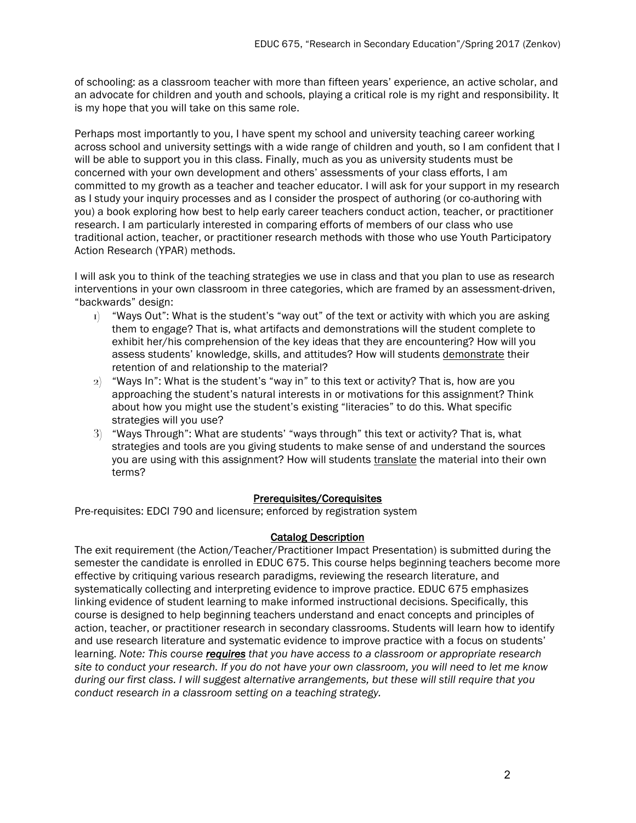of schooling: as a classroom teacher with more than fifteen years' experience, an active scholar, and an advocate for children and youth and schools, playing a critical role is my right and responsibility. It is my hope that you will take on this same role.

Perhaps most importantly to you, I have spent my school and university teaching career working across school and university settings with a wide range of children and youth, so I am confident that I will be able to support you in this class. Finally, much as you as university students must be concerned with your own development and others' assessments of your class efforts, I am committed to my growth as a teacher and teacher educator. I will ask for your support in my research as I study your inquiry processes and as I consider the prospect of authoring (or co-authoring with you) a book exploring how best to help early career teachers conduct action, teacher, or practitioner research. I am particularly interested in comparing efforts of members of our class who use traditional action, teacher, or practitioner research methods with those who use Youth Participatory Action Research (YPAR) methods.

I will ask you to think of the teaching strategies we use in class and that you plan to use as research interventions in your own classroom in three categories, which are framed by an assessment-driven, "backwards" design:

- $I_1$  "Ways Out": What is the student's "way out" of the text or activity with which you are asking them to engage? That is, what artifacts and demonstrations will the student complete to exhibit her/his comprehension of the key ideas that they are encountering? How will you assess students' knowledge, skills, and attitudes? How will students demonstrate their retention of and relationship to the material?
- $2)$  "Ways In": What is the student's "way in" to this text or activity? That is, how are you approaching the student's natural interests in or motivations for this assignment? Think about how you might use the student's existing "literacies" to do this. What specific strategies will you use?
- 3) "Ways Through": What are students' "ways through" this text or activity? That is, what strategies and tools are you giving students to make sense of and understand the sources you are using with this assignment? How will students translate the material into their own terms?

#### Prerequisites/Corequisites

Pre-requisites: EDCI 790 and licensure; enforced by registration system

#### Catalog Description

The exit requirement (the Action/Teacher/Practitioner Impact Presentation) is submitted during the semester the candidate is enrolled in EDUC 675. This course helps beginning teachers become more effective by critiquing various research paradigms, reviewing the research literature, and systematically collecting and interpreting evidence to improve practice. EDUC 675 emphasizes linking evidence of student learning to make informed instructional decisions. Specifically, this course is designed to help beginning teachers understand and enact concepts and principles of action, teacher, or practitioner research in secondary classrooms. Students will learn how to identify and use research literature and systematic evidence to improve practice with a focus on students' learning. *Note: This course requires that you have access to a classroom or appropriate research site to conduct your research. If you do not have your own classroom, you will need to let me know during our first class. I will suggest alternative arrangements, but these will still require that you conduct research in a classroom setting on a teaching strategy.*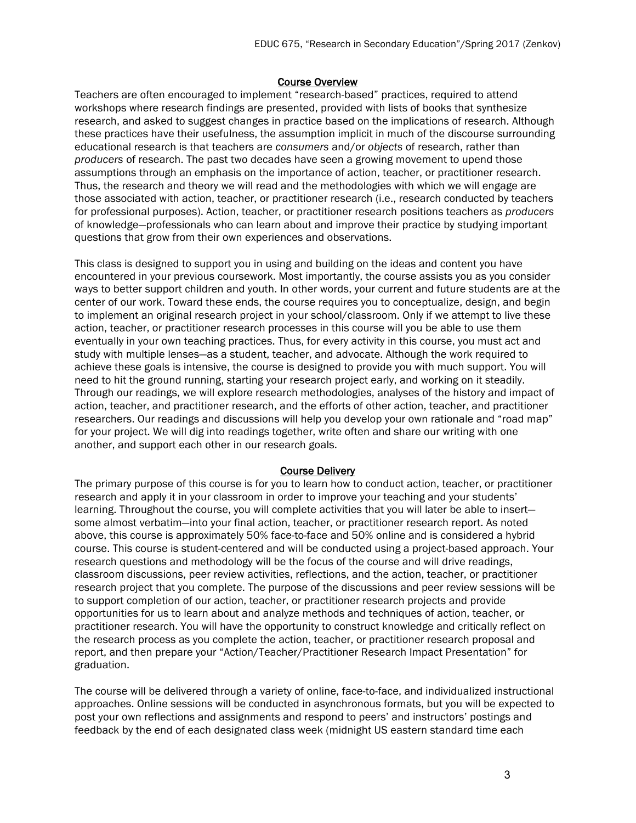#### Course Overview

Teachers are often encouraged to implement "research-based" practices, required to attend workshops where research findings are presented, provided with lists of books that synthesize research, and asked to suggest changes in practice based on the implications of research. Although these practices have their usefulness, the assumption implicit in much of the discourse surrounding educational research is that teachers are *consumers* and/or *objects* of research, rather than *producers* of research. The past two decades have seen a growing movement to upend those assumptions through an emphasis on the importance of action, teacher, or practitioner research. Thus, the research and theory we will read and the methodologies with which we will engage are those associated with action, teacher, or practitioner research (i.e., research conducted by teachers for professional purposes). Action, teacher, or practitioner research positions teachers as *producers* of knowledge—professionals who can learn about and improve their practice by studying important questions that grow from their own experiences and observations.

This class is designed to support you in using and building on the ideas and content you have encountered in your previous coursework. Most importantly, the course assists you as you consider ways to better support children and youth. In other words, your current and future students are at the center of our work. Toward these ends, the course requires you to conceptualize, design, and begin to implement an original research project in your school/classroom. Only if we attempt to live these action, teacher, or practitioner research processes in this course will you be able to use them eventually in your own teaching practices. Thus, for every activity in this course, you must act and study with multiple lenses—as a student, teacher, and advocate. Although the work required to achieve these goals is intensive, the course is designed to provide you with much support. You will need to hit the ground running, starting your research project early, and working on it steadily. Through our readings, we will explore research methodologies, analyses of the history and impact of action, teacher, and practitioner research, and the efforts of other action, teacher, and practitioner researchers. Our readings and discussions will help you develop your own rationale and "road map" for your project. We will dig into readings together, write often and share our writing with one another, and support each other in our research goals.

#### Course Delivery

The primary purpose of this course is for you to learn how to conduct action, teacher, or practitioner research and apply it in your classroom in order to improve your teaching and your students' learning. Throughout the course, you will complete activities that you will later be able to insert some almost verbatim—into your final action, teacher, or practitioner research report. As noted above, this course is approximately 50% face-to-face and 50% online and is considered a hybrid course. This course is student-centered and will be conducted using a project-based approach. Your research questions and methodology will be the focus of the course and will drive readings, classroom discussions, peer review activities, reflections, and the action, teacher, or practitioner research project that you complete. The purpose of the discussions and peer review sessions will be to support completion of our action, teacher, or practitioner research projects and provide opportunities for us to learn about and analyze methods and techniques of action, teacher, or practitioner research. You will have the opportunity to construct knowledge and critically reflect on the research process as you complete the action, teacher, or practitioner research proposal and report, and then prepare your "Action/Teacher/Practitioner Research Impact Presentation" for graduation.

The course will be delivered through a variety of online, face-to-face, and individualized instructional approaches. Online sessions will be conducted in asynchronous formats, but you will be expected to post your own reflections and assignments and respond to peers' and instructors' postings and feedback by the end of each designated class week (midnight US eastern standard time each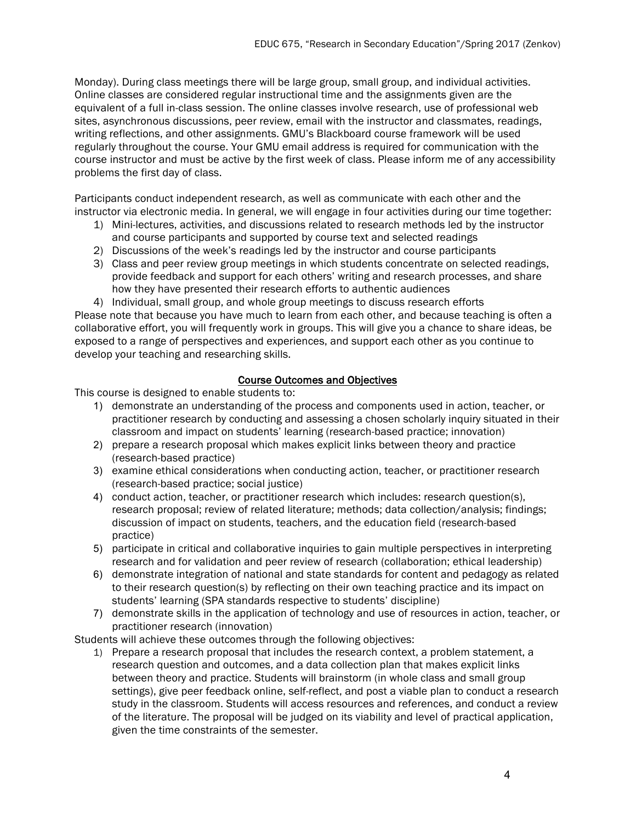Monday). During class meetings there will be large group, small group, and individual activities. Online classes are considered regular instructional time and the assignments given are the equivalent of a full in-class session. The online classes involve research, use of professional web sites, asynchronous discussions, peer review, email with the instructor and classmates, readings, writing reflections, and other assignments. GMU's Blackboard course framework will be used regularly throughout the course. Your GMU email address is required for communication with the course instructor and must be active by the first week of class. Please inform me of any accessibility problems the first day of class.

Participants conduct independent research, as well as communicate with each other and the instructor via electronic media. In general, we will engage in four activities during our time together:

- 1) Mini-lectures, activities, and discussions related to research methods led by the instructor and course participants and supported by course text and selected readings
- 2) Discussions of the week's readings led by the instructor and course participants
- 3) Class and peer review group meetings in which students concentrate on selected readings, provide feedback and support for each others' writing and research processes, and share how they have presented their research efforts to authentic audiences
- 4) Individual, small group, and whole group meetings to discuss research efforts

Please note that because you have much to learn from each other, and because teaching is often a collaborative effort, you will frequently work in groups. This will give you a chance to share ideas, be exposed to a range of perspectives and experiences, and support each other as you continue to develop your teaching and researching skills.

#### Course Outcomes and Objectives

This course is designed to enable students to:

- 1) demonstrate an understanding of the process and components used in action, teacher, or practitioner research by conducting and assessing a chosen scholarly inquiry situated in their classroom and impact on students' learning (research-based practice; innovation)
- 2) prepare a research proposal which makes explicit links between theory and practice (research-based practice)
- 3) examine ethical considerations when conducting action, teacher, or practitioner research (research-based practice; social justice)
- 4) conduct action, teacher, or practitioner research which includes: research question(s), research proposal; review of related literature; methods; data collection/analysis; findings; discussion of impact on students, teachers, and the education field (research-based practice)
- 5) participate in critical and collaborative inquiries to gain multiple perspectives in interpreting research and for validation and peer review of research (collaboration; ethical leadership)
- 6) demonstrate integration of national and state standards for content and pedagogy as related to their research question(s) by reflecting on their own teaching practice and its impact on students' learning (SPA standards respective to students' discipline)
- 7) demonstrate skills in the application of technology and use of resources in action, teacher, or practitioner research (innovation)

Students will achieve these outcomes through the following objectives:

1) Prepare a research proposal that includes the research context, a problem statement, a research question and outcomes, and a data collection plan that makes explicit links between theory and practice. Students will brainstorm (in whole class and small group settings), give peer feedback online, self-reflect, and post a viable plan to conduct a research study in the classroom. Students will access resources and references, and conduct a review of the literature. The proposal will be judged on its viability and level of practical application, given the time constraints of the semester.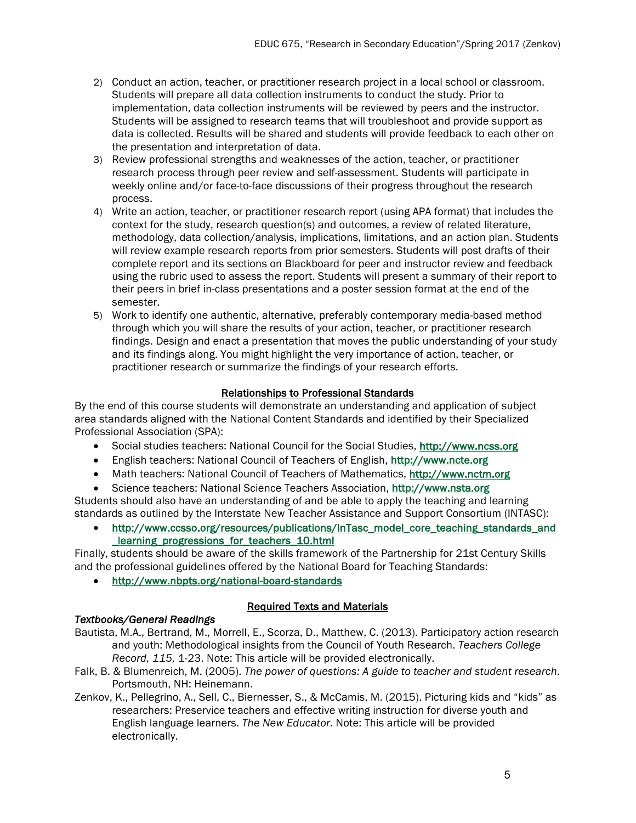- 2) Conduct an action, teacher, or practitioner research project in a local school or classroom. Students will prepare all data collection instruments to conduct the study. Prior to implementation, data collection instruments will be reviewed by peers and the instructor. Students will be assigned to research teams that will troubleshoot and provide support as data is collected. Results will be shared and students will provide feedback to each other on the presentation and interpretation of data.
- 3) Review professional strengths and weaknesses of the action, teacher, or practitioner research process through peer review and self-assessment. Students will participate in weekly online and/or face-to-face discussions of their progress throughout the research process.
- 4) Write an action, teacher, or practitioner research report (using APA format) that includes the context for the study, research question(s) and outcomes, a review of related literature, methodology, data collection/analysis, implications, limitations, and an action plan. Students will review example research reports from prior semesters. Students will post drafts of their complete report and its sections on Blackboard for peer and instructor review and feedback using the rubric used to assess the report. Students will present a summary of their report to their peers in brief in-class presentations and a poster session format at the end of the semester.
- 5) Work to identify one authentic, alternative, preferably contemporary media-based method through which you will share the results of your action, teacher, or practitioner research findings. Design and enact a presentation that moves the public understanding of your study and its findings along. You might highlight the very importance of action, teacher, or practitioner research or summarize the findings of your research efforts.

## Relationships to Professional Standards

By the end of this course students will demonstrate an understanding and application of subject area standards aligned with the National Content Standards and identified by their Specialized Professional Association (SPA):

- Social studies teachers: National Council for the Social Studies, http://www.ncss.org
- English teachers: National Council of Teachers of English, http://www.ncte.org
- Math teachers: National Council of Teachers of Mathematics, http://www.nctm.org
- Science teachers: National Science Teachers Association, http://www.nsta.org

Students should also have an understanding of and be able to apply the teaching and learning standards as outlined by the Interstate New Teacher Assistance and Support Consortium (INTASC):

• http://www.ccsso.org/resources/publications/InTasc\_model\_core\_teaching\_standards\_and \_learning\_progressions\_for\_teachers\_10.html

Finally, students should be aware of the skills framework of the Partnership for 21st Century Skills and the professional guidelines offered by the National Board for Teaching Standards:

• http://www.nbpts.org/national-board-standards

#### Required Texts and Materials

# *Textbooks/General Readings*

- Bautista, M.A., Bertrand, M., Morrell, E., Scorza, D., Matthew, C. (2013). Participatory action research and youth: Methodological insights from the Council of Youth Research. *Teachers College Record, 115,* 1-23. Note: This article will be provided electronically.
- Falk, B. & Blumenreich, M. (2005). *The power of questions: A guide to teacher and student research*. Portsmouth, NH: Heinemann.
- Zenkov, K., Pellegrino, A., Sell, C., Biernesser, S., & McCamis, M. (2015). Picturing kids and "kids" as researchers: Preservice teachers and effective writing instruction for diverse youth and English language learners. *The New Educator*. Note: This article will be provided electronically.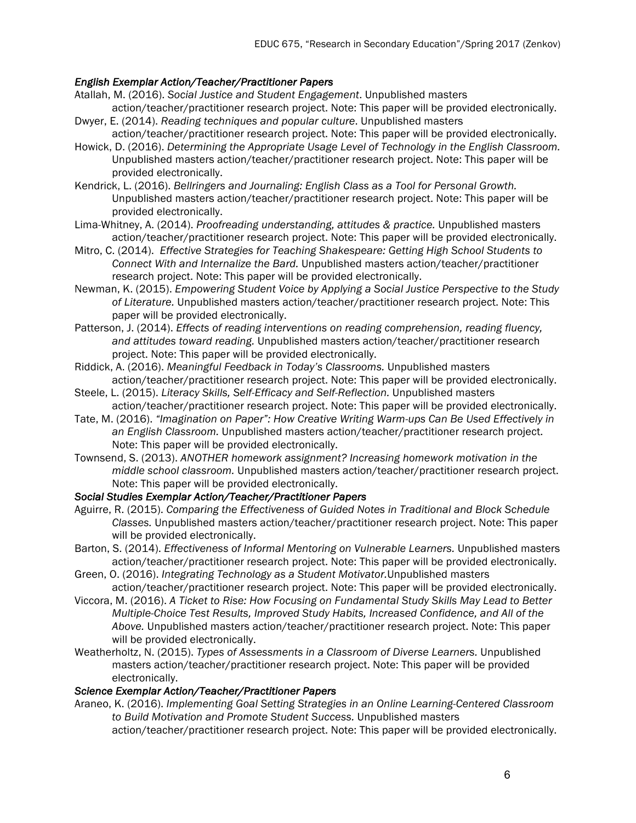## *English Exemplar Action/Teacher/Practitioner Papers*

- Atallah, M. (2016). *Social Justice and Student Engagement*. Unpublished masters
- action/teacher/practitioner research project. Note: This paper will be provided electronically. Dwyer, E. (2014). *Reading techniques and popular culture*. Unpublished masters
- action/teacher/practitioner research project. Note: This paper will be provided electronically. Howick, D. (2016). *Determining the Appropriate Usage Level of Technology in the English Classroom.*
- Unpublished masters action/teacher/practitioner research project. Note: This paper will be provided electronically.
- Kendrick, L. (2016). *Bellringers and Journaling: English Class as a Tool for Personal Growth.* Unpublished masters action/teacher/practitioner research project. Note: This paper will be provided electronically.
- Lima-Whitney, A. (2014). *Proofreading understanding, attitudes & practice.* Unpublished masters action/teacher/practitioner research project. Note: This paper will be provided electronically.
- Mitro, C. (2014). *Effective Strategies for Teaching Shakespeare: Getting High School Students to Connect With and Internalize the Bard.* Unpublished masters action/teacher/practitioner research project. Note: This paper will be provided electronically.
- Newman, K. (2015). *Empowering Student Voice by Applying a Social Justice Perspective to the Study of Literature.* Unpublished masters action/teacher/practitioner research project. Note: This paper will be provided electronically.
- Patterson, J. (2014). *Effects of reading interventions on reading comprehension, reading fluency, and attitudes toward reading.* Unpublished masters action/teacher/practitioner research project. Note: This paper will be provided electronically.
- Riddick, A. (2016). *Meaningful Feedback in Today's Classrooms.* Unpublished masters action/teacher/practitioner research project. Note: This paper will be provided electronically.
- Steele, L. (2015). *Literacy Skills, Self-Efficacy and Self-Reflection.* Unpublished masters action/teacher/practitioner research project. Note: This paper will be provided electronically.
- Tate, M. (2016). *"Imagination on Paper": How Creative Writing Warm-ups Can Be Used Effectively in an English Classroom.* Unpublished masters action/teacher/practitioner research project. Note: This paper will be provided electronically.
- Townsend, S. (2013). *ANOTHER homework assignment? Increasing homework motivation in the middle school classroom.* Unpublished masters action/teacher/practitioner research project. Note: This paper will be provided electronically.

#### *Social Studies Exemplar Action/Teacher/Practitioner Papers*

- Aguirre, R. (2015). *Comparing the Effectiveness of Guided Notes in Traditional and Block Schedule Classes.* Unpublished masters action/teacher/practitioner research project. Note: This paper will be provided electronically.
- Barton, S. (2014). *Effectiveness of Informal Mentoring on Vulnerable Learners.* Unpublished masters action/teacher/practitioner research project. Note: This paper will be provided electronically.
- Green, O. (2016). *Integrating Technology as a Student Motivator.*Unpublished masters action/teacher/practitioner research project. Note: This paper will be provided electronically.
- Viccora, M. (2016). *A Ticket to Rise: How Focusing on Fundamental Study Skills May Lead to Better Multiple-Choice Test Results, Improved Study Habits, Increased Confidence, and All of the Above.* Unpublished masters action/teacher/practitioner research project. Note: This paper will be provided electronically.
- Weatherholtz, N. (2015). *Types of Assessments in a Classroom of Diverse Learners.* Unpublished masters action/teacher/practitioner research project. Note: This paper will be provided electronically.

#### *Science Exemplar Action/Teacher/Practitioner Papers*

Araneo, K. (2016). *Implementing Goal Setting Strategies in an Online Learning-Centered Classroom to Build Motivation and Promote Student Success.* Unpublished masters

action/teacher/practitioner research project. Note: This paper will be provided electronically.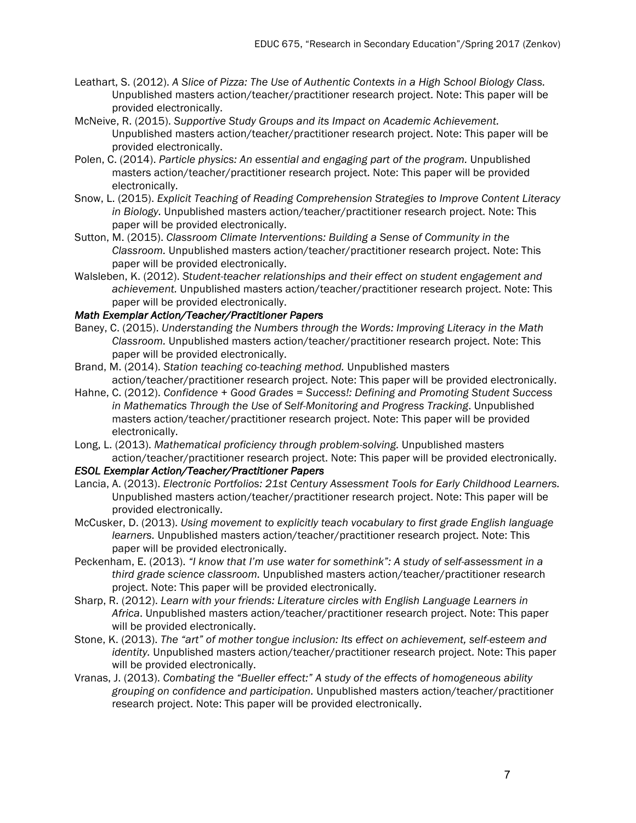- Leathart, S. (2012). *A Slice of Pizza: The Use of Authentic Contexts in a High School Biology Class.* Unpublished masters action/teacher/practitioner research project. Note: This paper will be provided electronically.
- McNeive, R. (2015). *Supportive Study Groups and its Impact on Academic Achievement.* Unpublished masters action/teacher/practitioner research project. Note: This paper will be provided electronically.
- Polen, C. (2014). *Particle physics: An essential and engaging part of the program.* Unpublished masters action/teacher/practitioner research project. Note: This paper will be provided electronically.
- Snow, L. (2015). *Explicit Teaching of Reading Comprehension Strategies to Improve Content Literacy in Biology.* Unpublished masters action/teacher/practitioner research project. Note: This paper will be provided electronically.
- Sutton, M. (2015). *Classroom Climate Interventions: Building a Sense of Community in the Classroom.* Unpublished masters action/teacher/practitioner research project. Note: This paper will be provided electronically.
- Walsleben, K. (2012). *Student-teacher relationships and their effect on student engagement and achievement.* Unpublished masters action/teacher/practitioner research project. Note: This paper will be provided electronically.

## *Math Exemplar Action/Teacher/Practitioner Papers*

- Baney, C. (2015). *Understanding the Numbers through the Words: Improving Literacy in the Math Classroom.* Unpublished masters action/teacher/practitioner research project. Note: This paper will be provided electronically.
- Brand, M. (2014). *Station teaching co-teaching method.* Unpublished masters action/teacher/practitioner research project. Note: This paper will be provided electronically.
- Hahne, C. (2012). *Confidence + Good Grades = Success!: Defining and Promoting Student Success in Mathematics Through the Use of Self-Monitoring and Progress Tracking*. Unpublished masters action/teacher/practitioner research project. Note: This paper will be provided electronically.
- Long, L. (2013). *Mathematical proficiency through problem-solving.* Unpublished masters action/teacher/practitioner research project. Note: This paper will be provided electronically.

#### *ESOL Exemplar Action/Teacher/Practitioner Papers*

- Lancia, A. (2013). *Electronic Portfolios: 21st Century Assessment Tools for Early Childhood Learners.* Unpublished masters action/teacher/practitioner research project. Note: This paper will be provided electronically.
- McCusker, D. (2013). *Using movement to explicitly teach vocabulary to first grade English language learners.* Unpublished masters action/teacher/practitioner research project. Note: This paper will be provided electronically.
- Peckenham, E. (2013). *"I know that I'm use water for somethink": A study of self-assessment in a third grade science classroom.* Unpublished masters action/teacher/practitioner research project. Note: This paper will be provided electronically.
- Sharp, R. (2012). *Learn with your friends: Literature circles with English Language Learners in Africa*. Unpublished masters action/teacher/practitioner research project. Note: This paper will be provided electronically.
- Stone, K. (2013). *The "art" of mother tongue inclusion: Its effect on achievement, self-esteem and identity.* Unpublished masters action/teacher/practitioner research project. Note: This paper will be provided electronically.
- Vranas, J. (2013). *Combating the "Bueller effect:" A study of the effects of homogeneous ability grouping on confidence and participation.* Unpublished masters action/teacher/practitioner research project. Note: This paper will be provided electronically.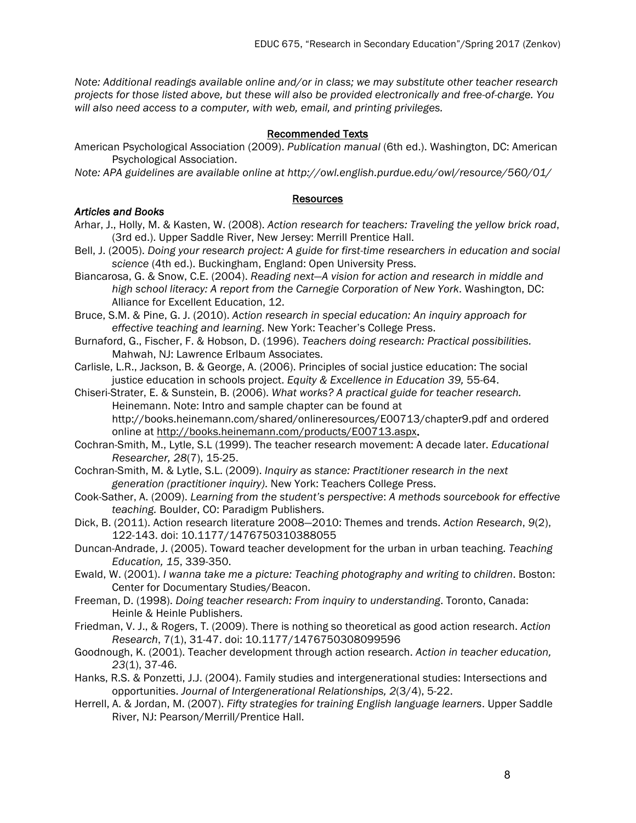*Note: Additional readings available online and/or in class; we may substitute other teacher research projects for those listed above, but these will also be provided electronically and free-of-charge. You will also need access to a computer, with web, email, and printing privileges.*

#### Recommended Texts

American Psychological Association (2009). *Publication manual* (6th ed.). Washington, DC: American Psychological Association.

*Note: APA guidelines are available online at http://owl.english.purdue.edu/owl/resource/560/01/*

#### Resources

## *Articles and Books*

- Arhar, J., Holly, M. & Kasten, W. (2008). *Action research for teachers: Traveling the yellow brick road*, (3rd ed.). Upper Saddle River, New Jersey: Merrill Prentice Hall.
- Bell, J. (2005). *Doing your research project: A guide for first-time researchers in education and social science* (4th ed.). Buckingham, England: Open University Press.
- Biancarosa, G. & Snow, C.E. (2004). *Reading next—A vision for action and research in middle and high school literacy: A report from the Carnegie Corporation of New York*. Washington, DC: Alliance for Excellent Education, 12.
- Bruce, S.M. & Pine, G. J. (2010). *Action research in special education: An inquiry approach for effective teaching and learning*. New York: Teacher's College Press.
- Burnaford, G., Fischer, F. & Hobson, D. (1996). *Teachers doing research: Practical possibilities.* Mahwah, NJ: Lawrence Erlbaum Associates.
- Carlisle, L.R., Jackson, B. & George, A. (2006). Principles of social justice education: The social justice education in schools project. *Equity & Excellence in Education 39,* 55-64.

Chiseri-Strater, E. & Sunstein, B. (2006). *What works? A practical guide for teacher research.*  Heinemann. Note: Intro and sample chapter can be found at http://books.heinemann.com/shared/onlineresources/E00713/chapter9.pdf and ordered online at http://books.heinemann.com/products/E00713.aspx.

- Cochran-Smith, M., Lytle, S.L (1999). The teacher research movement: A decade later. *Educational Researcher, 28*(7), 15-25.
- Cochran-Smith, M. & Lytle, S.L. (2009). *Inquiry as stance: Practitioner research in the next generation (practitioner inquiry)*. New York: Teachers College Press.
- Cook-Sather, A. (2009). *Learning from the student's perspective*: *A methods sourcebook for effective teaching.* Boulder, CO: Paradigm Publishers.
- Dick, B. (2011). Action research literature 2008—2010: Themes and trends. *Action Research*, *9*(2), 122-143. doi: 10.1177/1476750310388055
- Duncan-Andrade, J. (2005). Toward teacher development for the urban in urban teaching. *Teaching Education, 15*, 339-350.
- Ewald, W. (2001). *I wanna take me a picture: Teaching photography and writing to children*. Boston: Center for Documentary Studies/Beacon.
- Freeman, D. (1998). *Doing teacher research: From inquiry to understanding*. Toronto, Canada: Heinle & Heinle Publishers.
- Friedman, V. J., & Rogers, T. (2009). There is nothing so theoretical as good action research. *Action Research*, 7(1), 31-47. doi: 10.1177/1476750308099596
- Goodnough, K. (2001). Teacher development through action research. *Action in teacher education, 23*(1), 37-46.
- Hanks, R.S. & Ponzetti, J.J. (2004). Family studies and intergenerational studies: Intersections and opportunities. *Journal of Intergenerational Relationships, 2*(3/4), 5-22.
- Herrell, A. & Jordan, M. (2007). *Fifty strategies for training English language learners*. Upper Saddle River, NJ: Pearson/Merrill/Prentice Hall.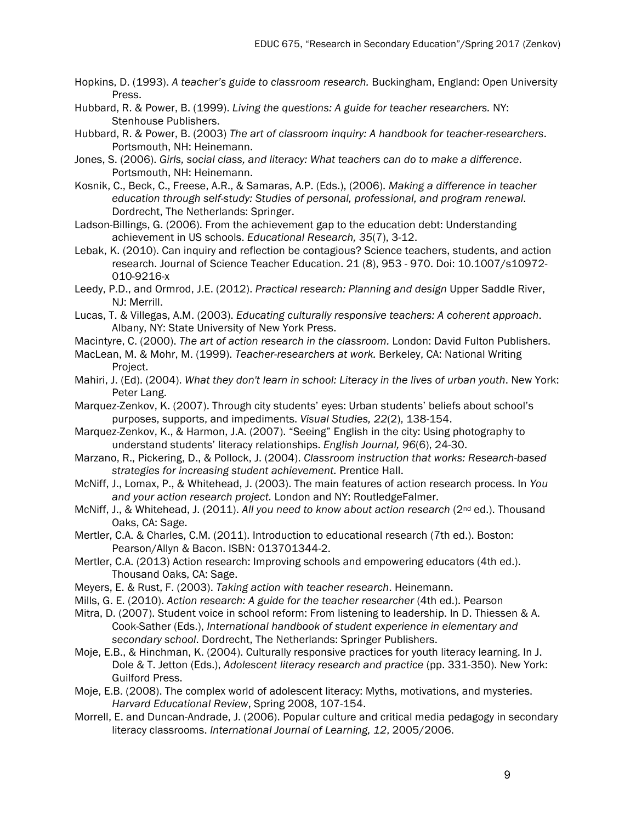- Hopkins, D. (1993). *A teacher's guide to classroom research.* Buckingham, England: Open University Press.
- Hubbard, R. & Power, B. (1999). *Living the questions: A guide for teacher researchers.* NY: Stenhouse Publishers.
- Hubbard, R. & Power, B. (2003) *The art of classroom inquiry: A handbook for teacher-researchers*. Portsmouth, NH: Heinemann.
- Jones, S. (2006). *Girls, social class, and literacy: What teachers can do to make a difference*. Portsmouth, NH: Heinemann.
- Kosnik, C., Beck, C., Freese, A.R., & Samaras, A.P. (Eds.), (2006). *Making a difference in teacher education through self-study: Studies of personal, professional, and program renewal*. Dordrecht, The Netherlands: Springer.
- Ladson-Billings, G. (2006). From the achievement gap to the education debt: Understanding achievement in US schools. *Educational Research, 35*(7), 3-12.
- Lebak, K. (2010). Can inquiry and reflection be contagious? Science teachers, students, and action research. Journal of Science Teacher Education. 21 (8), 953 - 970. Doi: 10.1007/s10972- 010-9216-x
- Leedy, P.D., and Ormrod, J.E. (2012). *Practical research: Planning and design* Upper Saddle River, NJ: Merrill.
- Lucas, T. & Villegas, A.M. (2003). *Educating culturally responsive teachers: A coherent approach*. Albany, NY: State University of New York Press.
- Macintyre, C. (2000). *The art of action research in the classroom.* London: David Fulton Publishers.
- MacLean, M. & Mohr, M. (1999). *Teacher-researchers at work.* Berkeley, CA: National Writing Project.
- Mahiri, J. (Ed). (2004). *What they don't learn in school: Literacy in the lives of urban youth*. New York: Peter Lang.
- Marquez-Zenkov, K. (2007). Through city students' eyes: Urban students' beliefs about school's purposes, supports, and impediments. *Visual Studies, 22*(2), 138-154.
- Marquez-Zenkov, K., & Harmon, J.A. (2007). "Seeing" English in the city: Using photography to understand students' literacy relationships. *English Journal, 96*(6), 24-30.
- Marzano, R., Pickering, D., & Pollock, J. (2004). *Classroom instruction that works: Research-based strategies for increasing student achievement.* Prentice Hall.
- McNiff, J., Lomax, P., & Whitehead, J. (2003). The main features of action research process. In *You and your action research project.* London and NY: RoutledgeFalmer.
- McNiff, J., & Whitehead, J. (2011). *All you need to know about action research* (2nd ed.). Thousand Oaks, CA: Sage.
- Mertler, C.A. & Charles, C.M. (2011). Introduction to educational research (7th ed.). Boston: Pearson/Allyn & Bacon. ISBN: 013701344-2.
- Mertler, C.A. (2013) Action research: Improving schools and empowering educators (4th ed.). Thousand Oaks, CA: Sage.
- Meyers, E. & Rust, F. (2003). *Taking action with teacher research*. Heinemann.
- Mills, G. E. (2010). *Action research: A guide for the teacher researcher* (4th ed.). Pearson
- Mitra, D. (2007). Student voice in school reform: From listening to leadership. In D. Thiessen & A. Cook-Sather (Eds.), *International handbook of student experience in elementary and secondary school*. Dordrecht, The Netherlands: Springer Publishers.
- Moje, E.B., & Hinchman, K. (2004). Culturally responsive practices for youth literacy learning. In J. Dole & T. Jetton (Eds.), *Adolescent literacy research and practice* (pp. 331-350). New York: Guilford Press.
- Moje, E.B. (2008). The complex world of adolescent literacy: Myths, motivations, and mysteries. *Harvard Educational Review*, Spring 2008, 107-154.
- Morrell, E. and Duncan-Andrade, J. (2006). Popular culture and critical media pedagogy in secondary literacy classrooms. *International Journal of Learning, 12*, 2005/2006.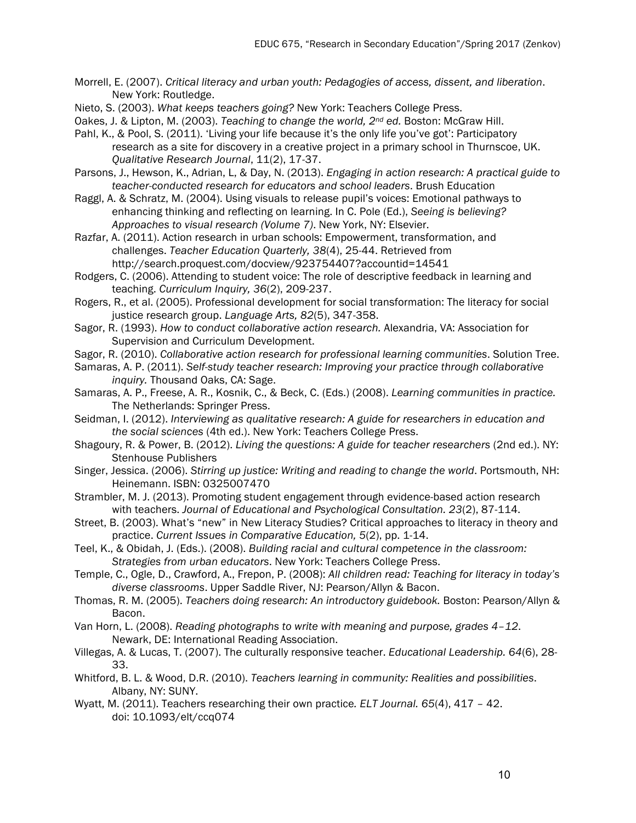- Morrell, E. (2007). *Critical literacy and urban youth: Pedagogies of access, dissent, and liberation*. New York: Routledge.
- Nieto, S. (2003). *What keeps teachers going?* New York: Teachers College Press.
- Oakes, J. & Lipton, M. (2003). *Teaching to change the world, 2nd ed.* Boston: McGraw Hill.
- Pahl, K., & Pool, S. (2011). 'Living your life because it's the only life you've got': Participatory research as a site for discovery in a creative project in a primary school in Thurnscoe, UK. *Qualitative Research Journal*, 11(2), 17-37.
- Parsons, J., Hewson, K., Adrian, L, & Day, N. (2013). *Engaging in action research: A practical guide to teacher-conducted research for educators and school leaders*. Brush Education
- Raggl, A. & Schratz, M. (2004). Using visuals to release pupil's voices: Emotional pathways to enhancing thinking and reflecting on learning. In C. Pole (Ed.), *Seeing is believing? Approaches to visual research (Volume 7)*. New York, NY: Elsevier.
- Razfar, A. (2011). Action research in urban schools: Empowerment, transformation, and challenges. *Teacher Education Quarterly, 38*(4), 25-44. Retrieved from http://search.proquest.com/docview/923754407?accountid=14541
- Rodgers, C. (2006). Attending to student voice: The role of descriptive feedback in learning and teaching. *Curriculum Inquiry, 36*(2), 209-237.
- Rogers, R., et al. (2005). Professional development for social transformation: The literacy for social justice research group. *Language Arts, 82*(5), 347-358.
- Sagor, R. (1993). *How to conduct collaborative action research.* Alexandria, VA: Association for Supervision and Curriculum Development.
- Sagor, R. (2010). *Collaborative action research for professional learning communities*. Solution Tree.
- Samaras, A. P. (2011). *Self-study teacher research: Improving your practice through collaborative inquiry.* Thousand Oaks, CA: Sage.
- Samaras, A. P., Freese, A. R., Kosnik, C., & Beck, C. (Eds.) (2008). *Learning communities in practice.*  The Netherlands: Springer Press.
- Seidman, I. (2012). *Interviewing as qualitative research: A guide for researchers in education and the social sciences* (4th ed.). New York: Teachers College Press.
- Shagoury, R. & Power, B. (2012). *Living the questions: A guide for teacher researchers* (2nd ed.). NY: Stenhouse Publishers
- Singer, Jessica. (2006). *Stirring up justice: Writing and reading to change the world*. Portsmouth, NH: Heinemann. ISBN: 0325007470
- Strambler, M. J. (2013). Promoting student engagement through evidence-based action research with teachers. *Journal of Educational and Psychological Consultation. 23*(2), 87-114.
- Street, B. (2003). What's "new" in New Literacy Studies? Critical approaches to literacy in theory and practice. *Current Issues in Comparative Education, 5*(2), pp. 1-14.
- Teel, K., & Obidah, J. (Eds.). (2008). *Building racial and cultural competence in the classroom: Strategies from urban educators*. New York: Teachers College Press.
- Temple, C., Ogle, D., Crawford, A., Frepon, P. (2008): *All children read: Teaching for literacy in today's diverse classrooms*. Upper Saddle River, NJ: Pearson/Allyn & Bacon.
- Thomas, R. M. (2005). *Teachers doing research: An introductory guidebook.* Boston: Pearson/Allyn & Bacon.
- Van Horn, L. (2008). *Reading photographs to write with meaning and purpose, grades 4–12*. Newark, DE: International Reading Association.
- Villegas, A. & Lucas, T. (2007). The culturally responsive teacher. *Educational Leadership. 64*(6), 28- 33.
- Whitford, B. L. & Wood, D.R. (2010). *Teachers learning in community: Realities and possibilities*. Albany, NY: SUNY.
- Wyatt, M. (2011). Teachers researching their own practice*. ELT Journal. 65*(4), 417 42. doi: 10.1093/elt/ccq074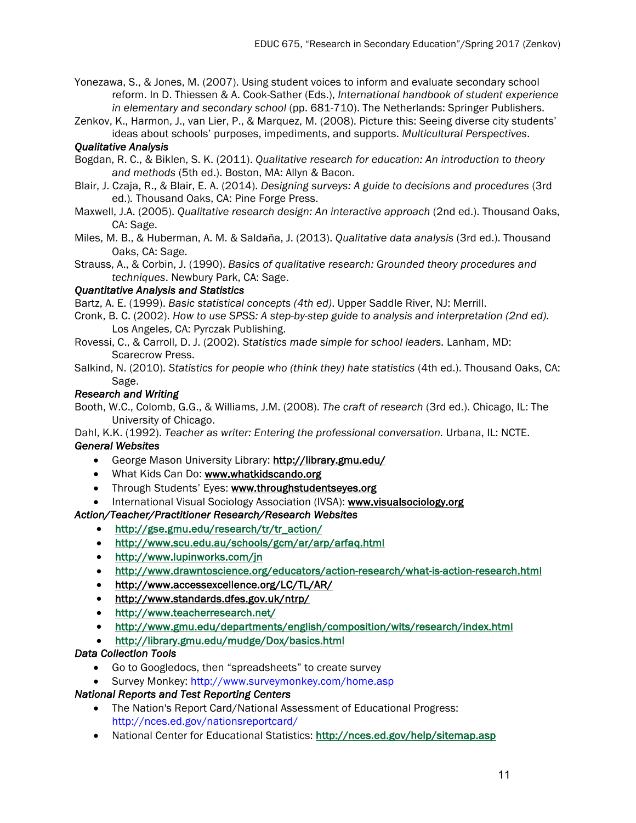Yonezawa, S., & Jones, M. (2007). Using student voices to inform and evaluate secondary school reform. In D. Thiessen & A. Cook-Sather (Eds.), *International handbook of student experience in elementary and secondary school* (pp. 681-710). The Netherlands: Springer Publishers.

Zenkov, K., Harmon, J., van Lier, P., & Marquez, M. (2008). Picture this: Seeing diverse city students' ideas about schools' purposes, impediments, and supports. *Multicultural Perspectives*.

## *Qualitative Analysis*

- Bogdan, R. C., & Biklen, S. K. (2011). *Qualitative research for education: An introduction to theory and methods* (5th ed.). Boston, MA: Allyn & Bacon.
- Blair, J. Czaja, R., & Blair, E. A. (2014). *Designing surveys: A guide to decisions and procedures* (3rd ed.)*.* Thousand Oaks, CA: Pine Forge Press.
- Maxwell, J.A. (2005). *Qualitative research design: An interactive approach* (2nd ed.). Thousand Oaks, CA: Sage.
- Miles, M. B., & Huberman, A. M. & Salda̴ña, J. (2013). *Qualitative data analysis* (3rd ed.). Thousand Oaks, CA: Sage.
- Strauss, A., & Corbin, J. (1990). *Basics of qualitative research: Grounded theory procedures and techniques*. Newbury Park, CA: Sage.

#### *Quantitative Analysis and Statistics*

Bartz, A. E. (1999). *Basic statistical concepts (4th ed)*. Upper Saddle River, NJ: Merrill.

- Cronk, B. C. (2002). *How to use SPSS: A step-by-step guide to analysis and interpretation (2nd ed).*  Los Angeles, CA: Pyrczak Publishing.
- Rovessi, C., & Carroll, D. J. (2002). *Statistics made simple for school leaders.* Lanham, MD: Scarecrow Press.
- Salkind, N. (2010). *Statistics for people who (think they) hate statistics* (4th ed.). Thousand Oaks, CA: Sage.

#### *Research and Writing*

Booth, W.C., Colomb, G.G., & Williams, J.M. (2008). *The craft of research* (3rd ed.). Chicago, IL: The University of Chicago.

Dahl, K.K. (1992). *Teacher as writer: Entering the professional conversation.* Urbana, IL: NCTE. *General Websites* 

- George Mason University Library: http://library.gmu.edu/
- What Kids Can Do: www.whatkidscando.org
- Through Students' Eyes: www.throughstudentseyes.org
- International Visual Sociology Association (IVSA): www.visualsociology.org

## *Action/Teacher/Practitioner Research/Research Websites*

- http://gse.gmu.edu/research/tr/tr\_action/
- http://www.scu.edu.au/schools/gcm/ar/arp/arfaq.html
- http://www.lupinworks.com/jn
- http://www.drawntoscience.org/educators/action-research/what-is-action-research.html
- http://www.accessexcellence.org/LC/TL/AR/
- http://www.standards.dfes.gov.uk/ntrp/
- http://www.teacherresearch.net/
- http://www.gmu.edu/departments/english/composition/wits/research/index.html
- http://library.gmu.edu/mudge/Dox/basics.html

#### *Data Collection Tools*

- Go to Googledocs, then "spreadsheets" to create survey
- Survey Monkey: http://www.surveymonkey.com/home.asp

# *National Reports and Test Reporting Centers*

- The Nation's Report Card/National Assessment of Educational Progress: http://nces.ed.gov/nationsreportcard/
- National Center for Educational Statistics: http://nces.ed.gov/help/sitemap.asp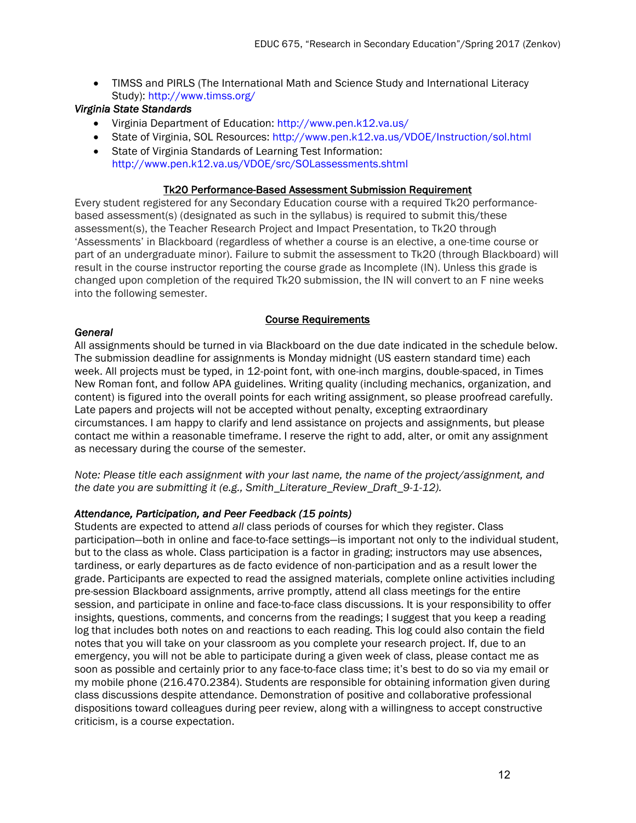• TIMSS and PIRLS (The International Math and Science Study and International Literacy Study): http://www.timss.org/

## *Virginia State Standards*

- Virginia Department of Education: http://www.pen.k12.va.us/
- State of Virginia, SOL Resources: http://www.pen.k12.va.us/VDOE/Instruction/sol.html
- State of Virginia Standards of Learning Test Information: http://www.pen.k12.va.us/VDOE/src/SOLassessments.shtml

#### Tk20 Performance-Based Assessment Submission Requirement

Every student registered for any Secondary Education course with a required Tk20 performancebased assessment(s) (designated as such in the syllabus) is required to submit this/these assessment(s), the Teacher Research Project and Impact Presentation, to Tk20 through 'Assessments' in Blackboard (regardless of whether a course is an elective, a one-time course or part of an undergraduate minor). Failure to submit the assessment to Tk20 (through Blackboard) will result in the course instructor reporting the course grade as Incomplete (IN). Unless this grade is changed upon completion of the required Tk20 submission, the IN will convert to an F nine weeks into the following semester.

## Course Requirements

#### *General*

All assignments should be turned in via Blackboard on the due date indicated in the schedule below. The submission deadline for assignments is Monday midnight (US eastern standard time) each week. All projects must be typed, in 12-point font, with one-inch margins, double-spaced, in Times New Roman font, and follow APA guidelines. Writing quality (including mechanics, organization, and content) is figured into the overall points for each writing assignment, so please proofread carefully. Late papers and projects will not be accepted without penalty, excepting extraordinary circumstances. I am happy to clarify and lend assistance on projects and assignments, but please contact me within a reasonable timeframe. I reserve the right to add, alter, or omit any assignment as necessary during the course of the semester.

*Note: Please title each assignment with your last name, the name of the project/assignment, and the date you are submitting it (e.g., Smith\_Literature\_Review\_Draft\_9-1-12).*

#### *Attendance, Participation, and Peer Feedback (15 points)*

Students are expected to attend *all* class periods of courses for which they register. Class participation—both in online and face-to-face settings—is important not only to the individual student, but to the class as whole. Class participation is a factor in grading; instructors may use absences, tardiness, or early departures as de facto evidence of non-participation and as a result lower the grade. Participants are expected to read the assigned materials, complete online activities including pre-session Blackboard assignments, arrive promptly, attend all class meetings for the entire session, and participate in online and face-to-face class discussions. It is your responsibility to offer insights, questions, comments, and concerns from the readings; I suggest that you keep a reading log that includes both notes on and reactions to each reading. This log could also contain the field notes that you will take on your classroom as you complete your research project. If, due to an emergency, you will not be able to participate during a given week of class, please contact me as soon as possible and certainly prior to any face-to-face class time; it's best to do so via my email or my mobile phone (216.470.2384). Students are responsible for obtaining information given during class discussions despite attendance. Demonstration of positive and collaborative professional dispositions toward colleagues during peer review, along with a willingness to accept constructive criticism, is a course expectation.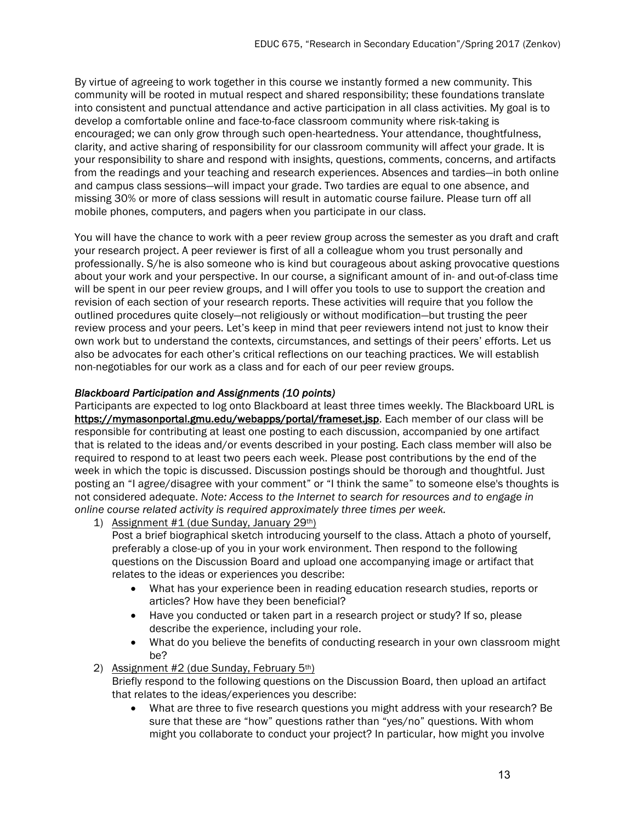By virtue of agreeing to work together in this course we instantly formed a new community. This community will be rooted in mutual respect and shared responsibility; these foundations translate into consistent and punctual attendance and active participation in all class activities. My goal is to develop a comfortable online and face-to-face classroom community where risk-taking is encouraged; we can only grow through such open-heartedness. Your attendance, thoughtfulness, clarity, and active sharing of responsibility for our classroom community will affect your grade. It is your responsibility to share and respond with insights, questions, comments, concerns, and artifacts from the readings and your teaching and research experiences. Absences and tardies—in both online and campus class sessions—will impact your grade. Two tardies are equal to one absence, and missing 30% or more of class sessions will result in automatic course failure. Please turn off all mobile phones, computers, and pagers when you participate in our class.

You will have the chance to work with a peer review group across the semester as you draft and craft your research project. A peer reviewer is first of all a colleague whom you trust personally and professionally. S/he is also someone who is kind but courageous about asking provocative questions about your work and your perspective. In our course, a significant amount of in- and out-of-class time will be spent in our peer review groups, and I will offer you tools to use to support the creation and revision of each section of your research reports. These activities will require that you follow the outlined procedures quite closely—not religiously or without modification—but trusting the peer review process and your peers. Let's keep in mind that peer reviewers intend not just to know their own work but to understand the contexts, circumstances, and settings of their peers' efforts. Let us also be advocates for each other's critical reflections on our teaching practices. We will establish non-negotiables for our work as a class and for each of our peer review groups.

## *Blackboard Participation and Assignments (10 points)*

Participants are expected to log onto Blackboard at least three times weekly. The Blackboard URL is https://mymasonportal.gmu.edu/webapps/portal/frameset.jsp. Each member of our class will be responsible for contributing at least one posting to each discussion, accompanied by one artifact that is related to the ideas and/or events described in your posting. Each class member will also be required to respond to at least two peers each week. Please post contributions by the end of the week in which the topic is discussed. Discussion postings should be thorough and thoughtful. Just posting an "I agree/disagree with your comment" or "I think the same" to someone else's thoughts is not considered adequate. *Note: Access to the Internet to search for resources and to engage in online course related activity is required approximately three times per week.* 

1) Assignment  $#1$  (due Sunday, January 29<sup>th</sup>)

Post a brief biographical sketch introducing yourself to the class. Attach a photo of yourself, preferably a close-up of you in your work environment. Then respond to the following questions on the Discussion Board and upload one accompanying image or artifact that relates to the ideas or experiences you describe:

- What has your experience been in reading education research studies, reports or articles? How have they been beneficial?
- Have you conducted or taken part in a research project or study? If so, please describe the experience, including your role.
- What do you believe the benefits of conducting research in your own classroom might be?

2) Assignment #2 (due Sunday, February 5th)

Briefly respond to the following questions on the Discussion Board, then upload an artifact that relates to the ideas/experiences you describe:

• What are three to five research questions you might address with your research? Be sure that these are "how" questions rather than "yes/no" questions. With whom might you collaborate to conduct your project? In particular, how might you involve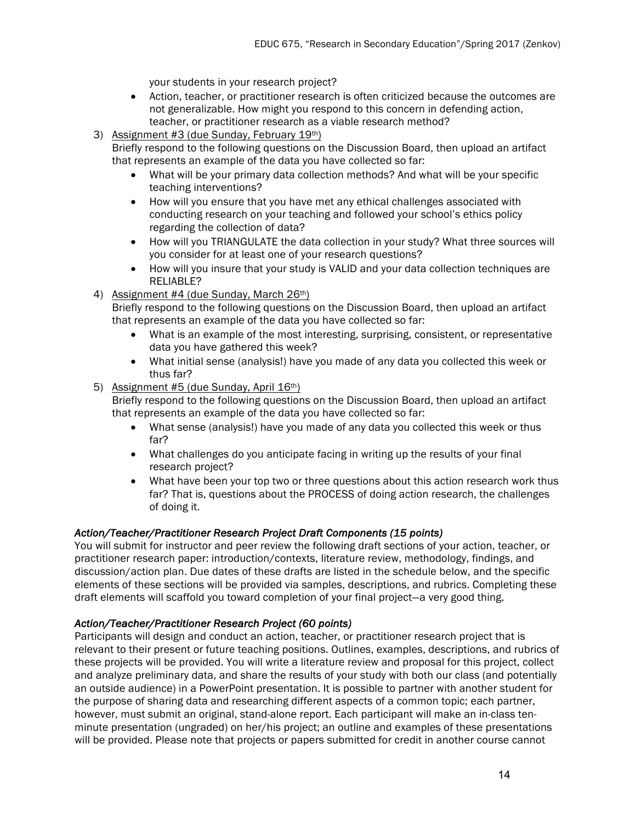your students in your research project?

- Action, teacher, or practitioner research is often criticized because the outcomes are not generalizable. How might you respond to this concern in defending action, teacher, or practitioner research as a viable research method?
- 3) Assignment #3 (due Sunday, February 19th)

Briefly respond to the following questions on the Discussion Board, then upload an artifact that represents an example of the data you have collected so far:

- What will be your primary data collection methods? And what will be your specific teaching interventions?
- How will you ensure that you have met any ethical challenges associated with conducting research on your teaching and followed your school's ethics policy regarding the collection of data?
- How will you TRIANGULATE the data collection in your study? What three sources will you consider for at least one of your research questions?
- How will you insure that your study is VALID and your data collection techniques are RELIABLE?
- 4) Assignment #4 (due Sunday, March 26<sup>th</sup>)

Briefly respond to the following questions on the Discussion Board, then upload an artifact that represents an example of the data you have collected so far:

- What is an example of the most interesting, surprising, consistent, or representative data you have gathered this week?
- What initial sense (analysis!) have you made of any data you collected this week or thus far?

#### 5) Assignment #5 (due Sunday, April 16th)

Briefly respond to the following questions on the Discussion Board, then upload an artifact that represents an example of the data you have collected so far:

- What sense (analysis!) have you made of any data you collected this week or thus far?
- What challenges do you anticipate facing in writing up the results of your final research project?
- What have been your top two or three questions about this action research work thus far? That is, questions about the PROCESS of doing action research, the challenges of doing it.

#### *Action/Teacher/Practitioner Research Project Draft Components (15 points)*

You will submit for instructor and peer review the following draft sections of your action, teacher, or practitioner research paper: introduction/contexts, literature review, methodology, findings, and discussion/action plan. Due dates of these drafts are listed in the schedule below, and the specific elements of these sections will be provided via samples, descriptions, and rubrics. Completing these draft elements will scaffold you toward completion of your final project—a very good thing.

# *Action/Teacher/Practitioner Research Project (60 points)*

Participants will design and conduct an action, teacher, or practitioner research project that is relevant to their present or future teaching positions. Outlines, examples, descriptions, and rubrics of these projects will be provided. You will write a literature review and proposal for this project, collect and analyze preliminary data, and share the results of your study with both our class (and potentially an outside audience) in a PowerPoint presentation. It is possible to partner with another student for the purpose of sharing data and researching different aspects of a common topic; each partner, however, must submit an original, stand-alone report. Each participant will make an in-class tenminute presentation (ungraded) on her/his project; an outline and examples of these presentations will be provided. Please note that projects or papers submitted for credit in another course cannot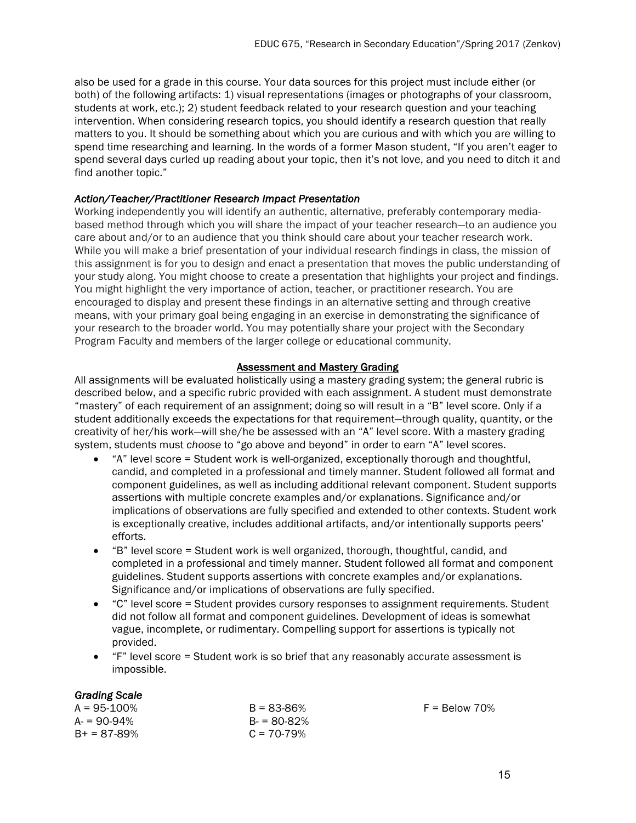also be used for a grade in this course. Your data sources for this project must include either (or both) of the following artifacts: 1) visual representations (images or photographs of your classroom, students at work, etc.); 2) student feedback related to your research question and your teaching intervention. When considering research topics, you should identify a research question that really matters to you. It should be something about which you are curious and with which you are willing to spend time researching and learning. In the words of a former Mason student, "If you aren't eager to spend several days curled up reading about your topic, then it's not love, and you need to ditch it and find another topic."

#### *Action/Teacher/Practitioner Research Impact Presentation*

Working independently you will identify an authentic, alternative, preferably contemporary mediabased method through which you will share the impact of your teacher research—to an audience you care about and/or to an audience that you think should care about your teacher research work. While you will make a brief presentation of your individual research findings in class, the mission of this assignment is for you to design and enact a presentation that moves the public understanding of your study along. You might choose to create a presentation that highlights your project and findings. You might highlight the very importance of action, teacher, or practitioner research. You are encouraged to display and present these findings in an alternative setting and through creative means, with your primary goal being engaging in an exercise in demonstrating the significance of your research to the broader world. You may potentially share your project with the Secondary Program Faculty and members of the larger college or educational community.

#### Assessment and Mastery Grading

All assignments will be evaluated holistically using a mastery grading system; the general rubric is described below, and a specific rubric provided with each assignment. A student must demonstrate "mastery" of each requirement of an assignment; doing so will result in a "B" level score. Only if a student additionally exceeds the expectations for that requirement—through quality, quantity, or the creativity of her/his work—will she/he be assessed with an "A" level score. With a mastery grading system, students must *choose* to "go above and beyond" in order to earn "A" level scores.

- "A" level score = Student work is well-organized, exceptionally thorough and thoughtful, candid, and completed in a professional and timely manner. Student followed all format and component guidelines, as well as including additional relevant component. Student supports assertions with multiple concrete examples and/or explanations. Significance and/or implications of observations are fully specified and extended to other contexts. Student work is exceptionally creative, includes additional artifacts, and/or intentionally supports peers' efforts.
- "B" level score = Student work is well organized, thorough, thoughtful, candid, and completed in a professional and timely manner. Student followed all format and component guidelines. Student supports assertions with concrete examples and/or explanations. Significance and/or implications of observations are fully specified.
- "C" level score = Student provides cursory responses to assignment requirements. Student did not follow all format and component guidelines. Development of ideas is somewhat vague, incomplete, or rudimentary. Compelling support for assertions is typically not provided.
- "F" level score = Student work is so brief that any reasonably accurate assessment is impossible.

#### *Grading Scale*

| $A = 95 - 100\%$ | $B = 83 - 86%$ |
|------------------|----------------|
| $A = 90 - 94\%$  | $B = 80-82%$   |
| $B+ = 87-89%$    | $C = 70-79%$   |

 $F =$  Below 70%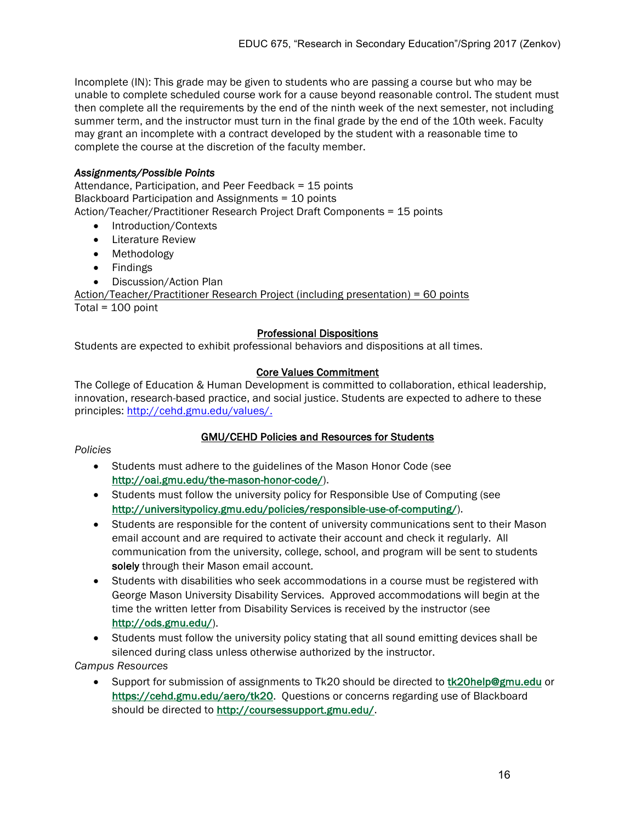Incomplete (IN): This grade may be given to students who are passing a course but who may be unable to complete scheduled course work for a cause beyond reasonable control. The student must then complete all the requirements by the end of the ninth week of the next semester, not including summer term, and the instructor must turn in the final grade by the end of the 10th week. Faculty may grant an incomplete with a contract developed by the student with a reasonable time to complete the course at the discretion of the faculty member.

## *Assignments/Possible Points*

Attendance, Participation, and Peer Feedback = 15 points Blackboard Participation and Assignments = 10 points Action/Teacher/Practitioner Research Project Draft Components = 15 points

- Introduction/Contexts
- Literature Review
- Methodology
- Findings
- Discussion/Action Plan

Action/Teacher/Practitioner Research Project (including presentation) = 60 points Total =  $100$  point

#### Professional Dispositions

Students are expected to exhibit professional behaviors and dispositions at all times.

#### Core Values Commitment

The College of Education & Human Development is committed to collaboration, ethical leadership, innovation, research-based practice, and social justice. Students are expected to adhere to these principles: http://cehd.gmu.edu/values/.

#### GMU/CEHD Policies and Resources for Students

#### *Policies*

- Students must adhere to the guidelines of the Mason Honor Code (see http://oai.gmu.edu/the-mason-honor-code/).
- Students must follow the university policy for Responsible Use of Computing (see http://universitypolicy.gmu.edu/policies/responsible-use-of-computing/).
- Students are responsible for the content of university communications sent to their Mason email account and are required to activate their account and check it regularly. All communication from the university, college, school, and program will be sent to students solely through their Mason email account.
- Students with disabilities who seek accommodations in a course must be registered with George Mason University Disability Services. Approved accommodations will begin at the time the written letter from Disability Services is received by the instructor (see http://ods.gmu.edu/).
- Students must follow the university policy stating that all sound emitting devices shall be silenced during class unless otherwise authorized by the instructor.

#### *Campus Resources*

• Support for submission of assignments to Tk20 should be directed to tk20help@gmu.edu or https://cehd.gmu.edu/aero/tk20. Questions or concerns regarding use of Blackboard should be directed to http://coursessupport.gmu.edu/.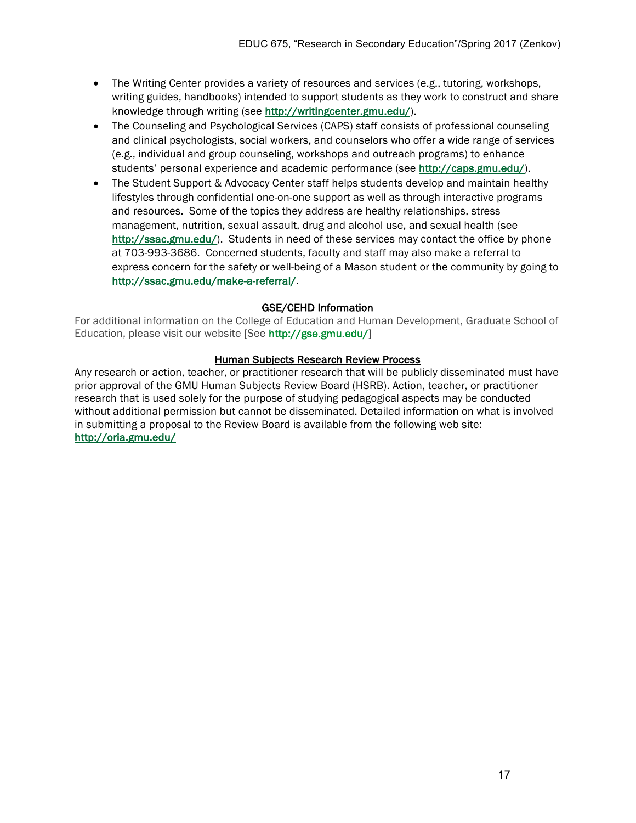- The Writing Center provides a variety of resources and services (e.g., tutoring, workshops, writing guides, handbooks) intended to support students as they work to construct and share knowledge through writing (see http://writingcenter.gmu.edu/).
- The Counseling and Psychological Services (CAPS) staff consists of professional counseling and clinical psychologists, social workers, and counselors who offer a wide range of services (e.g., individual and group counseling, workshops and outreach programs) to enhance students' personal experience and academic performance (see http://caps.gmu.edu/).
- The Student Support & Advocacy Center staff helps students develop and maintain healthy lifestyles through confidential one-on-one support as well as through interactive programs and resources. Some of the topics they address are healthy relationships, stress management, nutrition, sexual assault, drug and alcohol use, and sexual health (see http://ssac.gmu.edu/). Students in need of these services may contact the office by phone at 703-993-3686. Concerned students, faculty and staff may also make a referral to express concern for the safety or well-being of a Mason student or the community by going to http://ssac.gmu.edu/make-a-referral/.

# GSE/CEHD Information

For additional information on the College of Education and Human Development, Graduate School of Education, please visit our website [See http://gse.gmu.edu/]

#### Human Subjects Research Review Process

Any research or action, teacher, or practitioner research that will be publicly disseminated must have prior approval of the GMU Human Subjects Review Board (HSRB). Action, teacher, or practitioner research that is used solely for the purpose of studying pedagogical aspects may be conducted without additional permission but cannot be disseminated. Detailed information on what is involved in submitting a proposal to the Review Board is available from the following web site: http://oria.gmu.edu/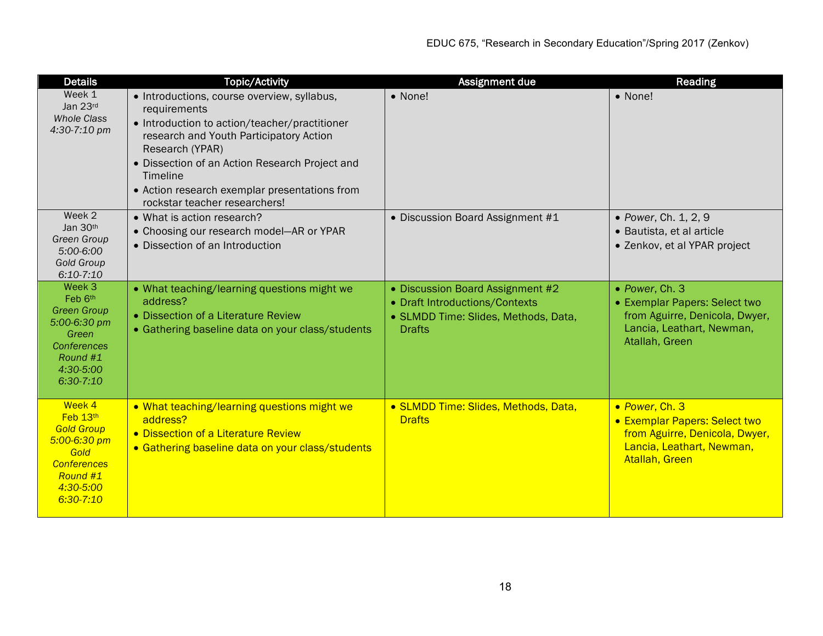| <b>Details</b>                                                                                                                      | <b>Topic/Activity</b>                                                                                                                                                                                                                                                                                                      | Assignment due                                                                                                              | Reading                                                                                                                                 |
|-------------------------------------------------------------------------------------------------------------------------------------|----------------------------------------------------------------------------------------------------------------------------------------------------------------------------------------------------------------------------------------------------------------------------------------------------------------------------|-----------------------------------------------------------------------------------------------------------------------------|-----------------------------------------------------------------------------------------------------------------------------------------|
| Week 1<br>Jan 23rd<br><b>Whole Class</b><br>4:30-7:10 pm                                                                            | • Introductions, course overview, syllabus,<br>requirements<br>• Introduction to action/teacher/practitioner<br>research and Youth Participatory Action<br>Research (YPAR)<br>• Dissection of an Action Research Project and<br>Timeline<br>• Action research exemplar presentations from<br>rockstar teacher researchers! | • None!                                                                                                                     | • None!                                                                                                                                 |
| Week 2<br>Jan 30th<br>Green Group<br>5:00-6:00<br><b>Gold Group</b><br>$6:10-7:10$                                                  | • What is action research?<br>• Choosing our research model-AR or YPAR<br>• Dissection of an Introduction                                                                                                                                                                                                                  | • Discussion Board Assignment #1                                                                                            | • Power, Ch. 1, 2, 9<br>• Bautista, et al article<br>• Zenkov, et al YPAR project                                                       |
| Week 3<br>Feb 6th<br><b>Green Group</b><br>5:00-6:30 pm<br>Green<br><b>Conferences</b><br>Round #1<br>4:30-5:00<br>$6:30-7:10$      | • What teaching/learning questions might we<br>address?<br>• Dissection of a Literature Review<br>• Gathering baseline data on your class/students                                                                                                                                                                         | • Discussion Board Assignment #2<br>• Draft Introductions/Contexts<br>• SLMDD Time: Slides, Methods, Data,<br><b>Drafts</b> | • Power, Ch. 3<br>• Exemplar Papers: Select two<br>from Aguirre, Denicola, Dwyer,<br>Lancia, Leathart, Newman,<br>Atallah, Green        |
| Week 4<br>Feb 13th<br><b>Gold Group</b><br>$5:00 - 6:30$ pm<br>Gold<br><b>Conferences</b><br>Round #1<br>4:30-5:00<br>$6:30 - 7:10$ | . What teaching/learning questions might we<br>address?<br>• Dissection of a Literature Review<br>• Gathering baseline data on your class/students                                                                                                                                                                         | • SLMDD Time: Slides, Methods, Data,<br><b>Drafts</b>                                                                       | • Power, Ch. 3<br><b>• Exemplar Papers: Select two</b><br>from Aguirre, Denicola, Dwyer,<br>Lancia, Leathart, Newman,<br>Atallah, Green |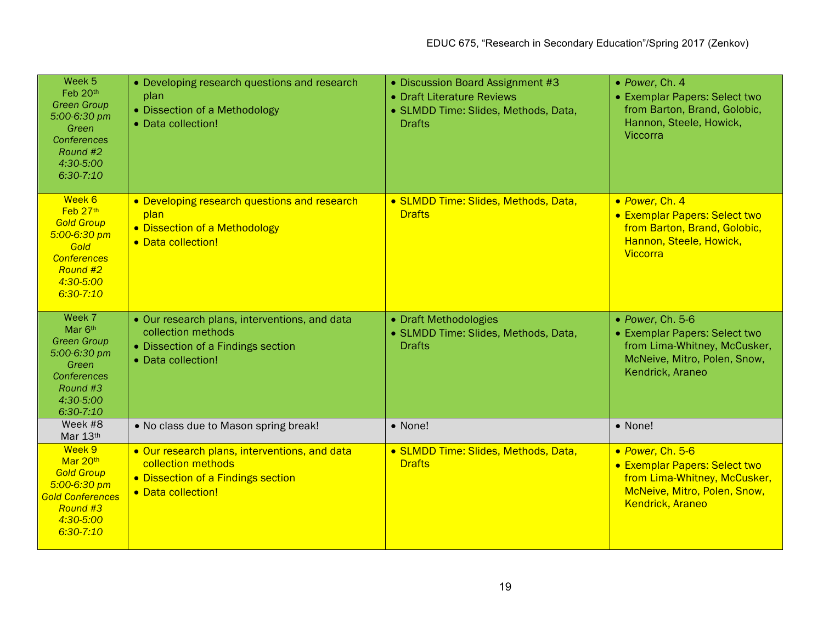| Week <sub>5</sub><br>Feb 20th<br><b>Green Group</b><br>5:00-6:30 pm<br>Green<br>Conferences<br>Round #2<br>4:30-5:00<br>$6:30-7:10$ | • Developing research questions and research<br>plan<br>• Dissection of a Methodology<br>• Data collection!                     | • Discussion Board Assignment #3<br>• Draft Literature Reviews<br>• SLMDD Time: Slides, Methods, Data,<br><b>Drafts</b> | • Power, Ch. 4<br>• Exemplar Papers: Select two<br>from Barton, Brand, Golobic,<br>Hannon, Steele, Howick,<br>Viccorra                       |
|-------------------------------------------------------------------------------------------------------------------------------------|---------------------------------------------------------------------------------------------------------------------------------|-------------------------------------------------------------------------------------------------------------------------|----------------------------------------------------------------------------------------------------------------------------------------------|
| Week 6<br>Feb 27th<br><b>Gold Group</b><br>$5:00 - 6:30$ pm<br>Gold<br><b>Conferences</b><br>Round #2<br>4:30-5:00<br>$6:30 - 7:10$ | • Developing research questions and research<br>plan<br>• Dissection of a Methodology<br>• Data collection!                     | • SLMDD Time: Slides, Methods, Data,<br><b>Drafts</b>                                                                   | · Power, Ch. 4<br>• Exemplar Papers: Select two<br>from Barton, Brand, Golobic,<br>Hannon, Steele, Howick,<br>Viccorra                       |
| Week 7<br>Mar 6th<br><b>Green Group</b><br>5:00-6:30 pm<br>Green<br><b>Conferences</b><br>Round #3<br>4:30-5:00<br>$6:30-7:10$      | • Our research plans, interventions, and data<br>collection methods<br>• Dissection of a Findings section<br>• Data collection! | • Draft Methodologies<br>• SLMDD Time: Slides, Methods, Data,<br><b>Drafts</b>                                          | • Power, Ch. 5-6<br>• Exemplar Papers: Select two<br>from Lima-Whitney, McCusker,<br>McNeive, Mitro, Polen, Snow,<br>Kendrick, Araneo        |
| Week #8<br>Mar 13th                                                                                                                 | . No class due to Mason spring break!                                                                                           | • None!                                                                                                                 | • None!                                                                                                                                      |
| Week 9<br>Mar 20th<br><b>Gold Group</b><br>5:00-6:30 pm<br><b>Gold Conferences</b><br>Round #3<br>4:30-5:00<br>$6:30 - 7:10$        | . Our research plans, interventions, and data<br>collection methods<br>• Dissection of a Findings section<br>• Data collection! | • SLMDD Time: Slides, Methods, Data,<br><b>Drafts</b>                                                                   | • Power, Ch. 5-6<br>• Exemplar Papers: Select two<br>from Lima-Whitney, McCusker,<br>McNeive, Mitro, Polen, Snow,<br><b>Kendrick, Araneo</b> |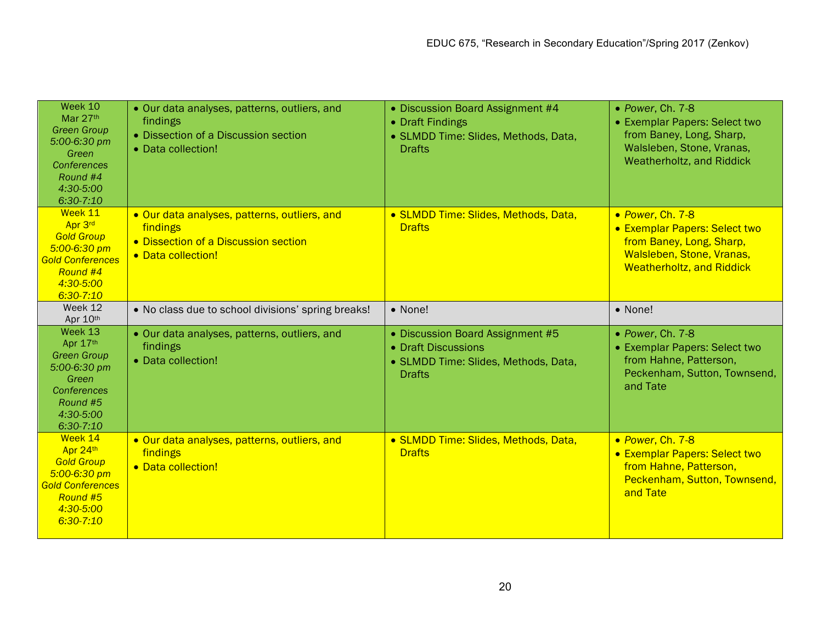| Week 10<br>Mar 27th<br><b>Green Group</b><br>5:00-6:30 pm<br>Green<br>Conferences<br>Round #4<br>4:30-5:00<br>$6:30-7:10$        | • Our data analyses, patterns, outliers, and<br>findings<br>• Dissection of a Discussion section<br>• Data collection! | • Discussion Board Assignment #4<br>• Draft Findings<br>• SLMDD Time: Slides, Methods, Data,<br><b>Drafts</b>    | • Power, Ch. 7-8<br>• Exemplar Papers: Select two<br>from Baney, Long, Sharp,<br>Walsleben, Stone, Vranas,<br>Weatherholtz, and Riddick        |
|----------------------------------------------------------------------------------------------------------------------------------|------------------------------------------------------------------------------------------------------------------------|------------------------------------------------------------------------------------------------------------------|------------------------------------------------------------------------------------------------------------------------------------------------|
| Week 11<br>Apr 3rd<br><b>Gold Group</b><br>5:00-6:30 pm<br><b>Gold Conferences</b><br>Round #4<br>4:30-5:00<br>$6:30 - 7:10$     | • Our data analyses, patterns, outliers, and<br>findings<br>• Dissection of a Discussion section<br>• Data collection! | • SLMDD Time: Slides, Methods, Data,<br><b>Drafts</b>                                                            | • Power, Ch. 7-8<br>• Exemplar Papers: Select two<br>from Baney, Long, Sharp,<br>Walsleben, Stone, Vranas,<br><b>Weatherholtz, and Riddick</b> |
| Week 12<br>Apr 10th                                                                                                              | . No class due to school divisions' spring breaks!                                                                     | • None!                                                                                                          | • None!                                                                                                                                        |
| Week 13<br>Apr 17th<br><b>Green Group</b><br>5:00-6:30 pm<br>Green<br><b>Conferences</b><br>Round #5<br>4:30-5:00<br>$6:30-7:10$ | · Our data analyses, patterns, outliers, and<br>findings<br>• Data collection!                                         | · Discussion Board Assignment #5<br>• Draft Discussions<br>• SLMDD Time: Slides, Methods, Data,<br><b>Drafts</b> | • Power, Ch. 7-8<br>• Exemplar Papers: Select two<br>from Hahne, Patterson,<br>Peckenham, Sutton, Townsend,<br>and Tate                        |
| Week 14<br>Apr 24th<br><b>Gold Group</b><br>$5:00 - 6:30$ pm<br><b>Gold Conferences</b><br>Round #5<br>4:30-5:00<br>$6:30-7:10$  | • Our data analyses, patterns, outliers, and<br>findings<br>• Data collection!                                         | • SLMDD Time: Slides, Methods, Data,<br><b>Drafts</b>                                                            | • Power, Ch. 7-8<br>• Exemplar Papers: Select two<br>from Hahne, Patterson,<br>Peckenham, Sutton, Townsend,<br>and Tate                        |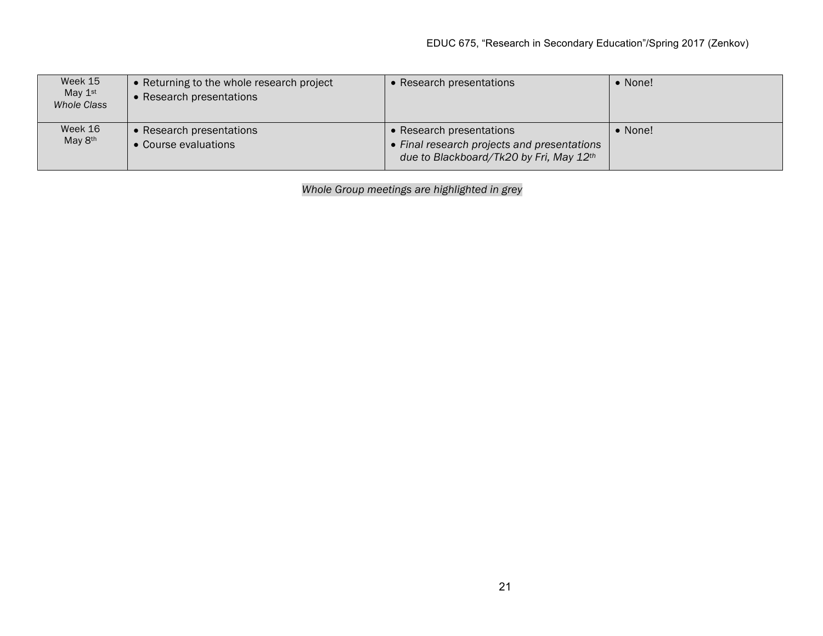| Week 15<br>May $1st$<br>Whole Class | • Returning to the whole research project<br>Research presentations | • Research presentations                                                                                           | • None! |
|-------------------------------------|---------------------------------------------------------------------|--------------------------------------------------------------------------------------------------------------------|---------|
| Week 16<br>May 8 <sup>th</sup>      | • Research presentations<br>• Course evaluations                    | • Research presentations<br>• Final research projects and presentations<br>due to Blackboard/Tk20 by Fri, May 12th | • None! |

*Whole Group meetings are highlighted in grey*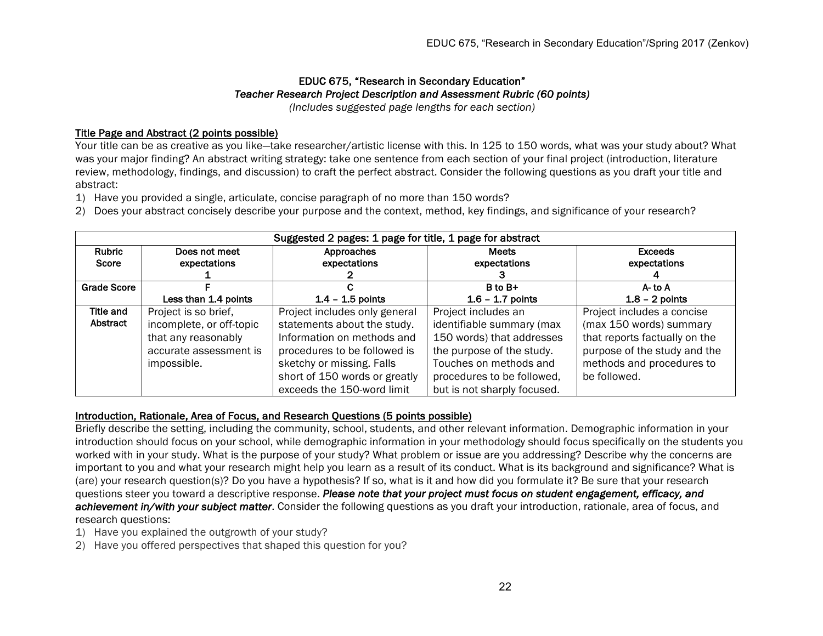#### EDUC 675, "Research in Secondary Education" *Teacher Research Project Description and Assessment Rubric (60 points) (Includes suggested page lengths for each section)*

# Title Page and Abstract (2 points possible)

Your title can be as creative as you like—take researcher/artistic license with this. In 125 to 150 words, what was your study about? What was your major finding? An abstract writing strategy: take one sentence from each section of your final project (introduction, literature review, methodology, findings, and discussion) to craft the perfect abstract. Consider the following questions as you draft your title and abstract:

- 1) Have you provided a single, articulate, concise paragraph of no more than 150 words?
- 2) Does your abstract concisely describe your purpose and the context, method, key findings, and significance of your research?

| Suggested 2 pages: 1 page for title, 1 page for abstract |                          |                               |                             |                               |
|----------------------------------------------------------|--------------------------|-------------------------------|-----------------------------|-------------------------------|
| Rubric                                                   | Does not meet            | Approaches                    | <b>Meets</b>                | <b>Exceeds</b>                |
| Score                                                    | expectations             | expectations                  | expectations                | expectations                  |
|                                                          |                          |                               |                             |                               |
| <b>Grade Score</b>                                       |                          |                               | B to B+                     | A-to A                        |
|                                                          | Less than 1.4 points     | $1.4 - 1.5$ points            | $1.6 - 1.7$ points          | $1.8 - 2$ points              |
| <b>Title and</b>                                         | Project is so brief,     | Project includes only general | Project includes an         | Project includes a concise    |
| Abstract                                                 | incomplete, or off-topic | statements about the study.   | identifiable summary (max   | (max 150 words) summary       |
|                                                          | that any reasonably      | Information on methods and    | 150 words) that addresses   | that reports factually on the |
|                                                          | accurate assessment is   | procedures to be followed is  | the purpose of the study.   | purpose of the study and the  |
|                                                          | impossible.              | sketchy or missing. Falls     | Touches on methods and      | methods and procedures to     |
|                                                          |                          | short of 150 words or greatly | procedures to be followed,  | be followed.                  |
|                                                          |                          | exceeds the 150-word limit    | but is not sharply focused. |                               |

# Introduction, Rationale, Area of Focus, and Research Questions (5 points possible)

Briefly describe the setting, including the community, school, students, and other relevant information. Demographic information in your introduction should focus on your school, while demographic information in your methodology should focus specifically on the students you worked with in your study. What is the purpose of your study? What problem or issue are you addressing? Describe why the concerns are important to you and what your research might help you learn as a result of its conduct. What is its background and significance? What is (are) your research question(s)? Do you have a hypothesis? If so, what is it and how did you formulate it? Be sure that your research questions steer you toward a descriptive response. *Please note that your project must focus on student engagement, efficacy, and achievement in/with your subject matter*. Consider the following questions as you draft your introduction, rationale, area of focus, and research questions:

- 1) Have you explained the outgrowth of your study?
- 2) Have you offered perspectives that shaped this question for you?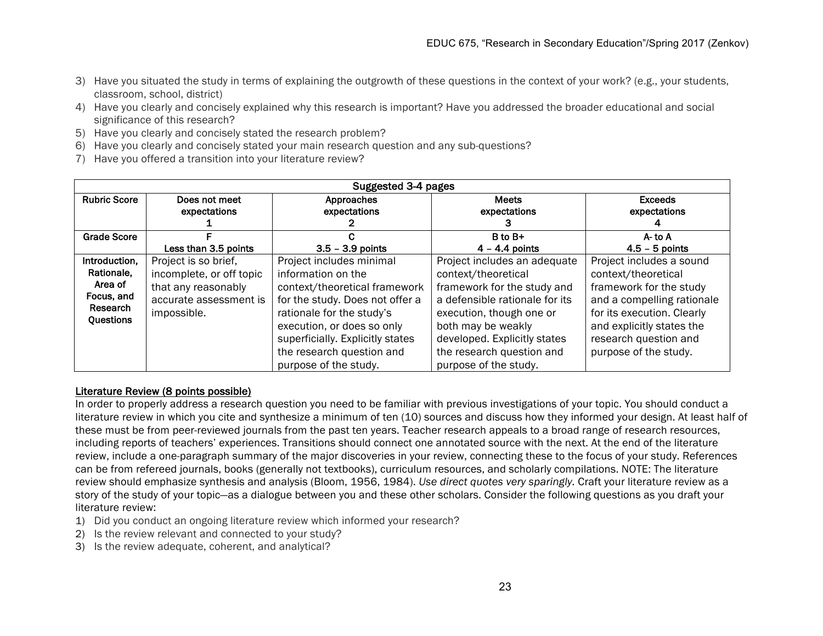- 3) Have you situated the study in terms of explaining the outgrowth of these questions in the context of your work? (e.g., your students, classroom, school, district)
- 4) Have you clearly and concisely explained why this research is important? Have you addressed the broader educational and social significance of this research?
- 5) Have you clearly and concisely stated the research problem?
- 6) Have you clearly and concisely stated your main research question and any sub-questions?
- 7) Have you offered a transition into your literature review?

| Suggested 3-4 pages                                                           |                                                                                                                  |                                                                                                                                                                                                                                                                         |                                                                                                                                                                                                                                                              |                                                                                                                                                                                                                       |
|-------------------------------------------------------------------------------|------------------------------------------------------------------------------------------------------------------|-------------------------------------------------------------------------------------------------------------------------------------------------------------------------------------------------------------------------------------------------------------------------|--------------------------------------------------------------------------------------------------------------------------------------------------------------------------------------------------------------------------------------------------------------|-----------------------------------------------------------------------------------------------------------------------------------------------------------------------------------------------------------------------|
| <b>Rubric Score</b>                                                           | Does not meet<br>expectations                                                                                    | Approaches<br>expectations                                                                                                                                                                                                                                              | <b>Meets</b><br>expectations                                                                                                                                                                                                                                 | <b>Exceeds</b><br>expectations                                                                                                                                                                                        |
| <b>Grade Score</b>                                                            |                                                                                                                  |                                                                                                                                                                                                                                                                         | B to B+                                                                                                                                                                                                                                                      | A-to A                                                                                                                                                                                                                |
|                                                                               | Less than 3.5 points                                                                                             | $3.5 - 3.9$ points                                                                                                                                                                                                                                                      | $4 - 4.4$ points                                                                                                                                                                                                                                             | $4.5 - 5$ points                                                                                                                                                                                                      |
| Introduction,<br>Rationale,<br>Area of<br>Focus, and<br>Research<br>Questions | Project is so brief,<br>incomplete, or off topic<br>that any reasonably<br>accurate assessment is<br>impossible. | Project includes minimal<br>information on the<br>context/theoretical framework<br>for the study. Does not offer a<br>rationale for the study's<br>execution, or does so only<br>superficially. Explicitly states<br>the research question and<br>purpose of the study. | Project includes an adequate<br>context/theoretical<br>framework for the study and<br>a defensible rationale for its<br>execution, though one or<br>both may be weakly<br>developed. Explicitly states<br>the research question and<br>purpose of the study. | Project includes a sound<br>context/theoretical<br>framework for the study<br>and a compelling rationale<br>for its execution. Clearly<br>and explicitly states the<br>research question and<br>purpose of the study. |

## Literature Review (8 points possible)

In order to properly address a research question you need to be familiar with previous investigations of your topic. You should conduct a literature review in which you cite and synthesize a minimum of ten (10) sources and discuss how they informed your design. At least half of these must be from peer-reviewed journals from the past ten years. Teacher research appeals to a broad range of research resources, including reports of teachers' experiences. Transitions should connect one annotated source with the next. At the end of the literature review, include a one-paragraph summary of the major discoveries in your review, connecting these to the focus of your study. References can be from refereed journals, books (generally not textbooks), curriculum resources, and scholarly compilations. NOTE: The literature review should emphasize synthesis and analysis (Bloom, 1956, 1984). *Use direct quotes very sparingly.* Craft your literature review as a story of the study of your topic—as a dialogue between you and these other scholars. Consider the following questions as you draft your literature review:

- 1) Did you conduct an ongoing literature review which informed your research?
- 2) Is the review relevant and connected to your study?
- 3) Is the review adequate, coherent, and analytical?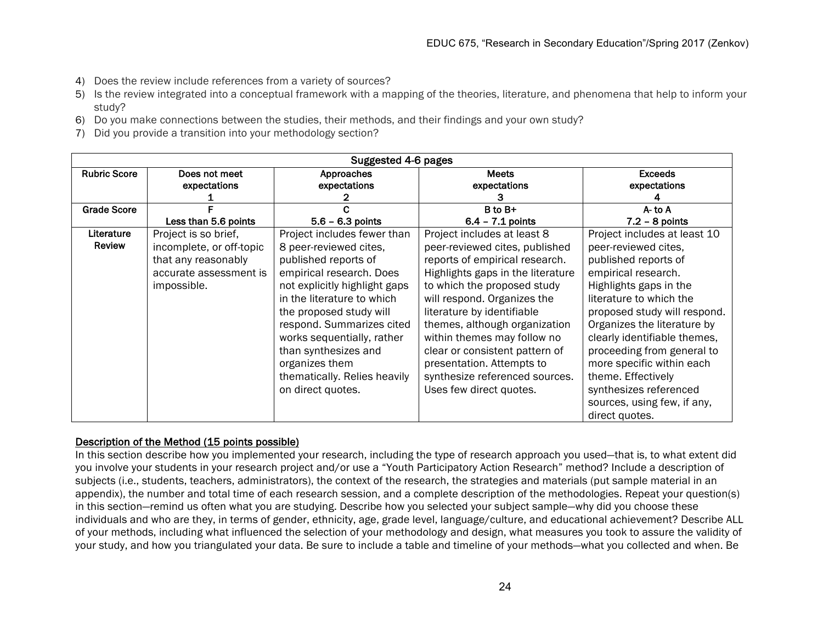- 4) Does the review include references from a variety of sources?
- 5) Is the review integrated into a conceptual framework with a mapping of the theories, literature, and phenomena that help to inform your study?
- 6) Do you make connections between the studies, their methods, and their findings and your own study?
- 7) Did you provide a transition into your methodology section?

| Suggested 4-6 pages |                               |                               |                                   |                                |
|---------------------|-------------------------------|-------------------------------|-----------------------------------|--------------------------------|
| <b>Rubric Score</b> | Does not meet<br>expectations | Approaches                    | <b>Meets</b>                      | <b>Exceeds</b><br>expectations |
|                     |                               | expectations                  | expectations                      |                                |
| <b>Grade Score</b>  |                               |                               | B to B+                           | $A -$ to $A$                   |
|                     | Less than 5.6 points          | $5.6 - 6.3$ points            | $6.4 - 7.1$ points                | $7.2 - 8$ points               |
| Literature          | Project is so brief,          | Project includes fewer than   | Project includes at least 8       | Project includes at least 10   |
| Review              | incomplete, or off-topic      | 8 peer-reviewed cites,        | peer-reviewed cites, published    | peer-reviewed cites,           |
|                     | that any reasonably           | published reports of          | reports of empirical research.    | published reports of           |
|                     | accurate assessment is        | empirical research. Does      | Highlights gaps in the literature | empirical research.            |
|                     | impossible.                   | not explicitly highlight gaps | to which the proposed study       | Highlights gaps in the         |
|                     |                               | in the literature to which    | will respond. Organizes the       | literature to which the        |
|                     |                               | the proposed study will       | literature by identifiable        | proposed study will respond.   |
|                     |                               | respond. Summarizes cited     | themes, although organization     | Organizes the literature by    |
|                     |                               | works sequentially, rather    | within themes may follow no       | clearly identifiable themes,   |
|                     |                               | than synthesizes and          | clear or consistent pattern of    | proceeding from general to     |
|                     |                               | organizes them                | presentation. Attempts to         | more specific within each      |
|                     |                               | thematically. Relies heavily  | synthesize referenced sources.    | theme. Effectively             |
|                     |                               | on direct quotes.             | Uses few direct quotes.           | synthesizes referenced         |
|                     |                               |                               |                                   | sources, using few, if any,    |
|                     |                               |                               |                                   | direct quotes.                 |

# Description of the Method (15 points possible)

In this section describe how you implemented your research, including the type of research approach you used—that is, to what extent did you involve your students in your research project and/or use a "Youth Participatory Action Research" method? Include a description of subjects (i.e., students, teachers, administrators), the context of the research, the strategies and materials (put sample material in an appendix), the number and total time of each research session, and a complete description of the methodologies. Repeat your question(s) in this section—remind us often what you are studying. Describe how you selected your subject sample—why did you choose these individuals and who are they, in terms of gender, ethnicity, age, grade level, language/culture, and educational achievement? Describe ALL of your methods, including what influenced the selection of your methodology and design, what measures you took to assure the validity of your study, and how you triangulated your data. Be sure to include a table and timeline of your methods—what you collected and when. Be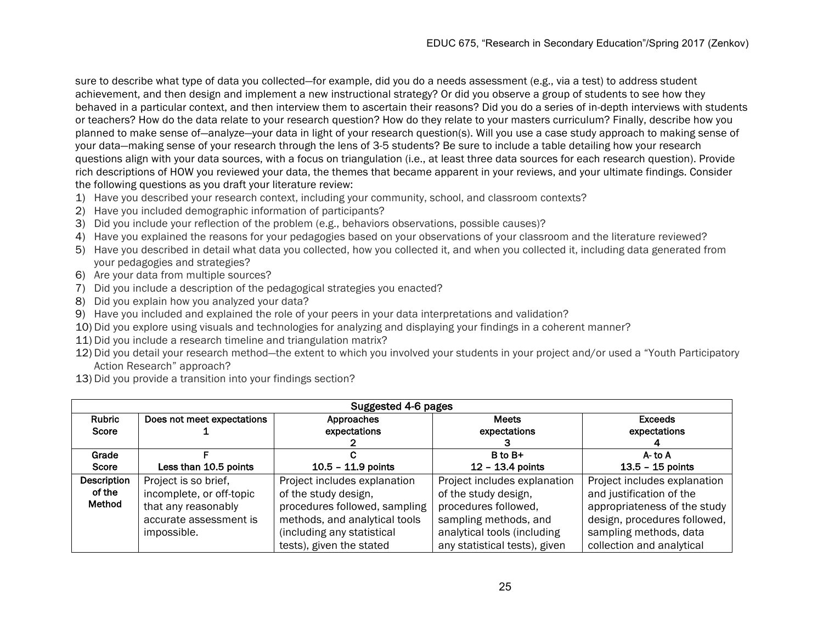sure to describe what type of data you collected—for example, did you do a needs assessment (e.g., via a test) to address student achievement, and then design and implement a new instructional strategy? Or did you observe a group of students to see how they behaved in a particular context, and then interview them to ascertain their reasons? Did you do a series of in-depth interviews with students or teachers? How do the data relate to your research question? How do they relate to your masters curriculum? Finally, describe how you planned to make sense of—analyze—your data in light of your research question(s). Will you use a case study approach to making sense of your data—making sense of your research through the lens of 3-5 students? Be sure to include a table detailing how your research questions align with your data sources, with a focus on triangulation (i.e., at least three data sources for each research question). Provide rich descriptions of HOW you reviewed your data, the themes that became apparent in your reviews, and your ultimate findings. Consider the following questions as you draft your literature review:

- 1) Have you described your research context, including your community, school, and classroom contexts?
- 2) Have you included demographic information of participants?
- 3) Did you include your reflection of the problem (e.g., behaviors observations, possible causes)?
- 4) Have you explained the reasons for your pedagogies based on your observations of your classroom and the literature reviewed?
- 5) Have you described in detail what data you collected, how you collected it, and when you collected it, including data generated from your pedagogies and strategies?
- 6) Are your data from multiple sources?
- 7) Did you include a description of the pedagogical strategies you enacted?
- 8) Did you explain how you analyzed your data?
- 9) Have you included and explained the role of your peers in your data interpretations and validation?
- 10) Did you explore using visuals and technologies for analyzing and displaying your findings in a coherent manner?
- 11) Did you include a research timeline and triangulation matrix?
- 12) Did you detail your research method—the extent to which you involved your students in your project and/or used a "Youth Participatory Action Research" approach?
- 13) Did you provide a transition into your findings section?

| Suggested 4-6 pages |                            |                               |                               |                              |
|---------------------|----------------------------|-------------------------------|-------------------------------|------------------------------|
| Rubric              | Does not meet expectations | Approaches                    | <b>Meets</b>                  | <b>Exceeds</b>               |
| Score               |                            | expectations                  | expectations                  | expectations                 |
|                     |                            |                               |                               |                              |
| Grade               |                            |                               | $B$ to $B+$                   | $A$ - to $A$                 |
| Score               | Less than 10.5 points      | $10.5 - 11.9$ points          | $12 - 13.4$ points            | $13.5 - 15$ points           |
| Description         | Project is so brief,       | Project includes explanation  | Project includes explanation  | Project includes explanation |
| of the              | incomplete, or off-topic   | of the study design,          | of the study design,          | and justification of the     |
| Method              | that any reasonably        | procedures followed, sampling | procedures followed,          | appropriateness of the study |
|                     | accurate assessment is     | methods, and analytical tools | sampling methods, and         | design, procedures followed, |
|                     | impossible.                | (including any statistical    | analytical tools (including   | sampling methods, data       |
|                     |                            | tests), given the stated      | any statistical tests), given | collection and analytical    |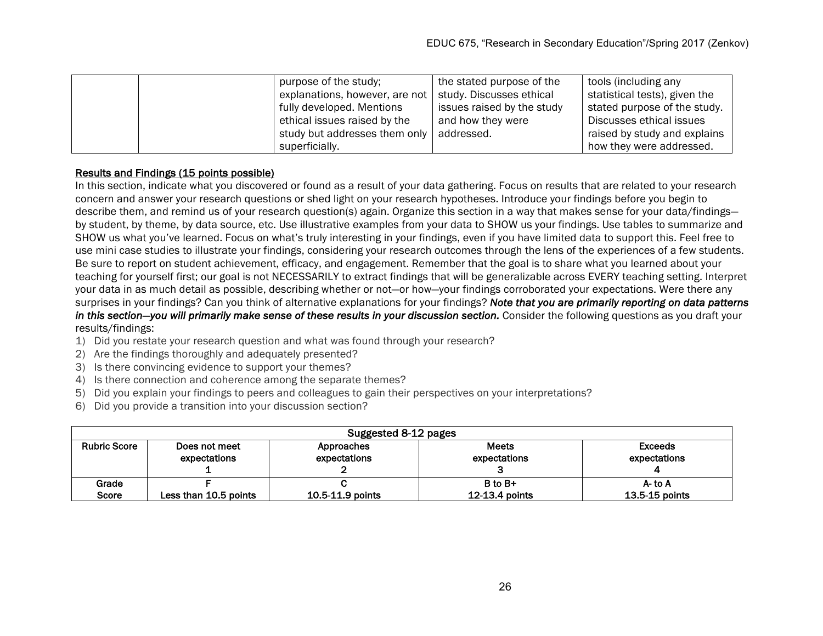|  | purpose of the study;          | the stated purpose of the  | tools (including any          |
|--|--------------------------------|----------------------------|-------------------------------|
|  | explanations, however, are not | study. Discusses ethical   | statistical tests), given the |
|  | fully developed. Mentions      | issues raised by the study | stated purpose of the study.  |
|  | ethical issues raised by the   | and how they were          | Discusses ethical issues      |
|  | study but addresses them only  | addressed.                 | raised by study and explains  |
|  | superficially.                 |                            | how they were addressed.      |

## Results and Findings (15 points possible)

In this section, indicate what you discovered or found as a result of your data gathering. Focus on results that are related to your research concern and answer your research questions or shed light on your research hypotheses. Introduce your findings before you begin to describe them, and remind us of your research question(s) again. Organize this section in a way that makes sense for your data/findings by student, by theme, by data source, etc. Use illustrative examples from your data to SHOW us your findings. Use tables to summarize and SHOW us what you've learned. Focus on what's truly interesting in your findings, even if you have limited data to support this. Feel free to use mini case studies to illustrate your findings, considering your research outcomes through the lens of the experiences of a few students. Be sure to report on student achievement, efficacy, and engagement. Remember that the goal is to share what you learned about your teaching for yourself first; our goal is not NECESSARILY to extract findings that will be generalizable across EVERY teaching setting. Interpret your data in as much detail as possible, describing whether or not—or how—your findings corroborated your expectations. Were there any surprises in your findings? Can you think of alternative explanations for your findings? *Note that you are primarily reporting on data patterns in this section—you will primarily make sense of these results in your discussion section.* Consider the following questions as you draft your results/findings:

- 1) Did you restate your research question and what was found through your research?
- 2) Are the findings thoroughly and adequately presented?
- 3) Is there convincing evidence to support your themes?
- 4) Is there connection and coherence among the separate themes?
- 5) Did you explain your findings to peers and colleagues to gain their perspectives on your interpretations?
- 6) Did you provide a transition into your discussion section?

| Suggested 8-12 pages |                       |                  |                |                    |
|----------------------|-----------------------|------------------|----------------|--------------------|
| <b>Rubric Score</b>  | Does not meet         | Approaches       | <b>Meets</b>   | <b>Exceeds</b>     |
|                      | expectations          | expectations     | expectations   | expectations       |
|                      |                       |                  |                |                    |
| Grade                |                       |                  | $B$ to $B+$    | A- to A            |
| Score                | Less than 10.5 points | 10.5-11.9 points | 12-13.4 points | $13.5 - 15$ points |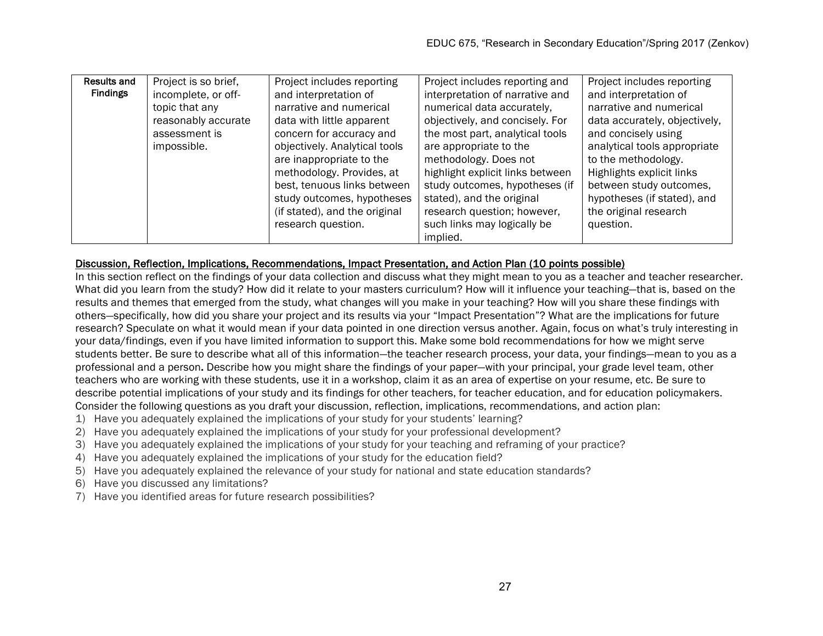| Results and     | Project is so brief, | Project includes reporting    | Project includes reporting and   | Project includes reporting    |
|-----------------|----------------------|-------------------------------|----------------------------------|-------------------------------|
| <b>Findings</b> | incomplete, or off-  | and interpretation of         | interpretation of narrative and  | and interpretation of         |
|                 | topic that any       | narrative and numerical       | numerical data accurately,       | narrative and numerical       |
|                 | reasonably accurate  | data with little apparent     | objectively, and concisely. For  | data accurately, objectively, |
|                 | assessment is        | concern for accuracy and      | the most part, analytical tools  | and concisely using           |
|                 | impossible.          | objectively. Analytical tools | are appropriate to the           | analytical tools appropriate  |
|                 |                      | are inappropriate to the      | methodology. Does not            | to the methodology.           |
|                 |                      | methodology. Provides, at     | highlight explicit links between | Highlights explicit links     |
|                 |                      | best, tenuous links between   | study outcomes, hypotheses (if   | between study outcomes,       |
|                 |                      | study outcomes, hypotheses    | stated), and the original        | hypotheses (if stated), and   |
|                 |                      | (if stated), and the original | research question; however,      | the original research         |
|                 |                      | research question.            | such links may logically be      | question.                     |
|                 |                      |                               | implied.                         |                               |

## Discussion, Reflection, Implications, Recommendations, Impact Presentation, and Action Plan (10 points possible)

In this section reflect on the findings of your data collection and discuss what they might mean to you as a teacher and teacher researcher. What did you learn from the study? How did it relate to your masters curriculum? How will it influence your teaching—that is, based on the results and themes that emerged from the study, what changes will you make in your teaching? How will you share these findings with others—specifically, how did you share your project and its results via your "Impact Presentation"? What are the implications for future research? Speculate on what it would mean if your data pointed in one direction versus another. Again, focus on what's truly interesting in your data/findings, even if you have limited information to support this. Make some bold recommendations for how we might serve students better. Be sure to describe what all of this information—the teacher research process, your data, your findings—mean to you as a professional and a person. Describe how you might share the findings of your paper—with your principal, your grade level team, other teachers who are working with these students, use it in a workshop, claim it as an area of expertise on your resume, etc. Be sure to describe potential implications of your study and its findings for other teachers, for teacher education, and for education policymakers. Consider the following questions as you draft your discussion, reflection, implications, recommendations, and action plan:

- 1) Have you adequately explained the implications of your study for your students' learning?
- 2) Have you adequately explained the implications of your study for your professional development?
- 3) Have you adequately explained the implications of your study for your teaching and reframing of your practice?
- 4) Have you adequately explained the implications of your study for the education field?
- 5) Have you adequately explained the relevance of your study for national and state education standards?
- 6) Have you discussed any limitations?
- 7) Have you identified areas for future research possibilities?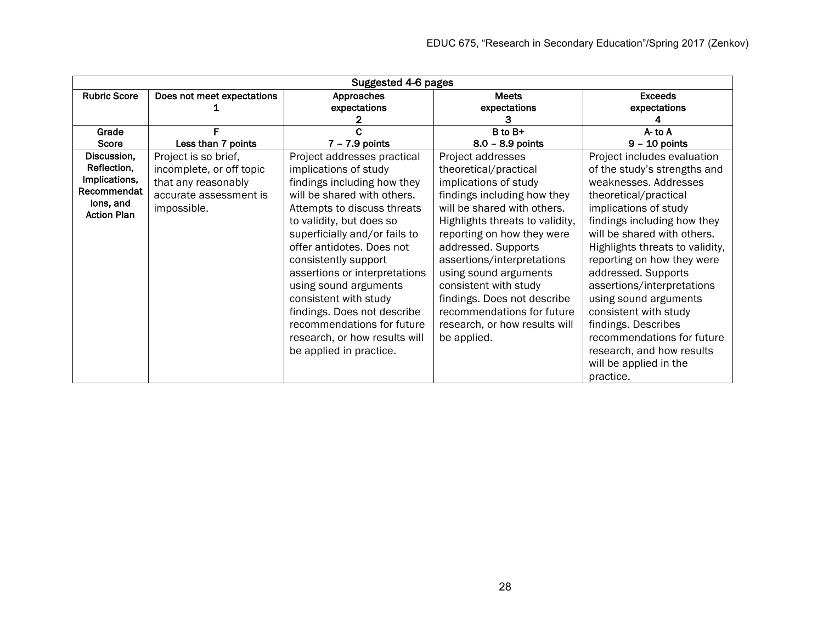| Suggested 4-6 pages             |                            |                               |                                 |                                 |  |  |  |
|---------------------------------|----------------------------|-------------------------------|---------------------------------|---------------------------------|--|--|--|
| <b>Rubric Score</b>             | Does not meet expectations | Approaches                    | <b>Meets</b>                    | <b>Exceeds</b>                  |  |  |  |
|                                 |                            | expectations                  | expectations                    | expectations                    |  |  |  |
|                                 |                            |                               |                                 |                                 |  |  |  |
| Grade                           |                            |                               | B to B+                         | $A - to A$                      |  |  |  |
| Score                           | Less than 7 points         | $7 - 7.9$ points              | 8.0 - 8.9 points                | $9 - 10$ points                 |  |  |  |
| Discussion,                     | Project is so brief,       | Project addresses practical   | Project addresses               | Project includes evaluation     |  |  |  |
| Reflection,                     | incomplete, or off topic   | implications of study         | theoretical/practical           | of the study's strengths and    |  |  |  |
| Implications,                   | that any reasonably        | findings including how they   | implications of study           | weaknesses. Addresses           |  |  |  |
| Recommendat                     | accurate assessment is     | will be shared with others.   | findings including how they     | theoretical/practical           |  |  |  |
| ions, and<br><b>Action Plan</b> | impossible.                | Attempts to discuss threats   | will be shared with others.     | implications of study           |  |  |  |
|                                 |                            | to validity, but does so      | Highlights threats to validity, | findings including how they     |  |  |  |
|                                 |                            | superficially and/or fails to | reporting on how they were      | will be shared with others.     |  |  |  |
|                                 |                            | offer antidotes. Does not     | addressed. Supports             | Highlights threats to validity, |  |  |  |
|                                 |                            | consistently support          | assertions/interpretations      | reporting on how they were      |  |  |  |
|                                 |                            | assertions or interpretations | using sound arguments           | addressed. Supports             |  |  |  |
|                                 |                            | using sound arguments         | consistent with study           | assertions/interpretations      |  |  |  |
|                                 |                            | consistent with study         | findings. Does not describe     | using sound arguments           |  |  |  |
|                                 |                            | findings. Does not describe   | recommendations for future      | consistent with study           |  |  |  |
|                                 |                            | recommendations for future    | research, or how results will   | findings. Describes             |  |  |  |
|                                 |                            | research, or how results will | be applied.                     | recommendations for future      |  |  |  |
|                                 |                            | be applied in practice.       |                                 | research, and how results       |  |  |  |
|                                 |                            |                               |                                 | will be applied in the          |  |  |  |
|                                 |                            |                               |                                 | practice.                       |  |  |  |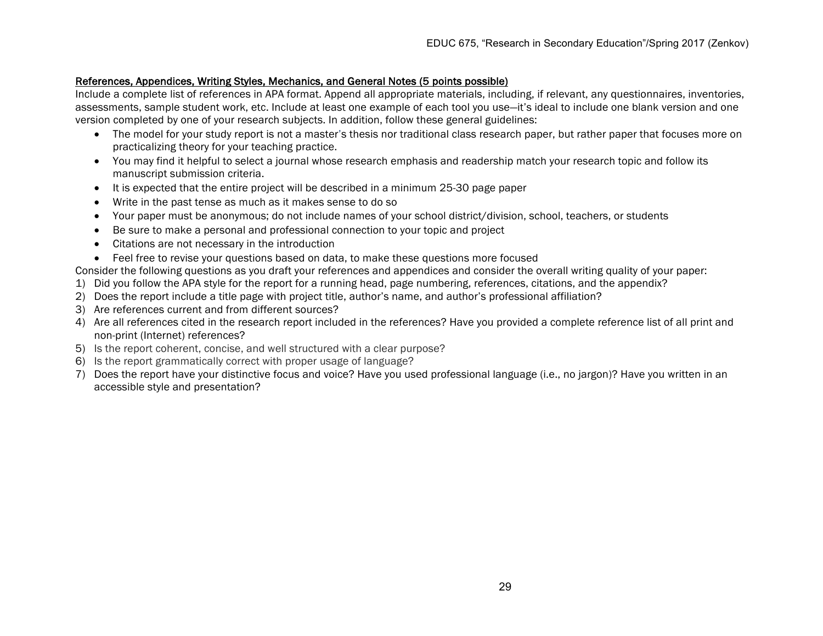#### References, Appendices, Writing Styles, Mechanics, and General Notes (5 points possible)

Include a complete list of references in APA format. Append all appropriate materials, including, if relevant, any questionnaires, inventories, assessments, sample student work, etc. Include at least one example of each tool you use—it's ideal to include one blank version and one version completed by one of your research subjects. In addition, follow these general guidelines:

- The model for your study report is not a master's thesis nor traditional class research paper, but rather paper that focuses more on practicalizing theory for your teaching practice.
- You may find it helpful to select a journal whose research emphasis and readership match your research topic and follow its manuscript submission criteria.
- It is expected that the entire project will be described in a minimum 25-30 page paper
- Write in the past tense as much as it makes sense to do so
- Your paper must be anonymous; do not include names of your school district/division, school, teachers, or students
- Be sure to make a personal and professional connection to your topic and project
- Citations are not necessary in the introduction
- Feel free to revise your questions based on data, to make these questions more focused

Consider the following questions as you draft your references and appendices and consider the overall writing quality of your paper:

- 1) Did you follow the APA style for the report for a running head, page numbering, references, citations, and the appendix?
- 2) Does the report include a title page with project title, author's name, and author's professional affiliation?
- 3) Are references current and from different sources?
- 4) Are all references cited in the research report included in the references? Have you provided a complete reference list of all print and non-print (Internet) references?
- 5) Is the report coherent, concise, and well structured with a clear purpose?
- 6) Is the report grammatically correct with proper usage of language?
- 7) Does the report have your distinctive focus and voice? Have you used professional language (i.e., no jargon)? Have you written in an accessible style and presentation?